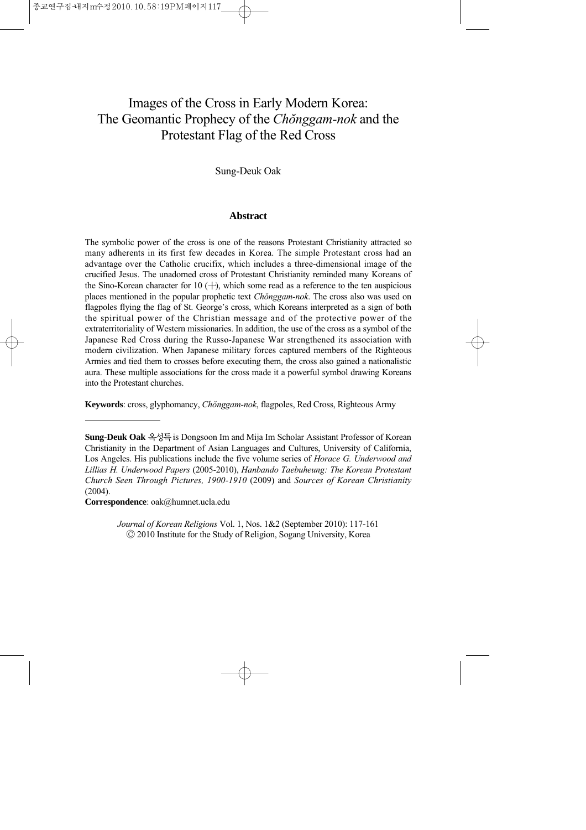# Images of the Cross in Early Modern Korea: The Geomantic Prophecy of the *Cho˘nggam-nok* and the Protestant Flag of the Red Cross

Sung-Deuk Oak

## **Abstract**

The symbolic power of the cross is one of the reasons Protestant Christianity attracted so many adherents in its first few decades in Korea. The simple Protestant cross had an advantage over the Catholic crucifix, which includes a three-dimensional image of the crucified Jesus. The unadorned cross of Protestant Christianity reminded many Koreans of the Sino-Korean character for 10  $(+)$ , which some read as a reference to the ten auspicious places mentioned in the popular prophetic text *Cho˘nggam-nok*. The cross also was used on flagpoles flying the flag of St. George's cross, which Koreans interpreted as a sign of both the spiritual power of the Christian message and of the protective power of the extraterritoriality of Western missionaries. In addition, the use of the cross as a symbol of the Japanese Red Cross during the Russo-Japanese War strengthened its association with modern civilization. When Japanese military forces captured members of the Righteous Armies and tied them to crosses before executing them, the cross also gained a nationalistic aura. These multiple associations for the cross made it a powerful symbol drawing Koreans into the Protestant churches.

**Keywords**: cross, glyphomancy, *Cho˘nggam-nok*, flagpoles, Red Cross, Righteous Army

**Correspondence**: oak@humnet.ucla.edu

*Journal of Korean Religions* Vol. 1, Nos. 1&2 (September 2010): 117-161 � 2010 Institute for the Study of Religion, Sogang University, Korea

**Sung-Deuk Oak** 옥성득is Dongsoon Im and Mija Im Scholar Assistant Professor of Korean Christianity in the Department of Asian Languages and Cultures, University of California, Los Angeles. His publications include the five volume series of *Horace G. Underwood and Lillias H. Underwood Papers* (2005-2010), *Hanbando Taebuheung: The Korean Protestant Church Seen Through Pictures, 1900-1910* (2009) and *Sources of Korean Christianity* (2004).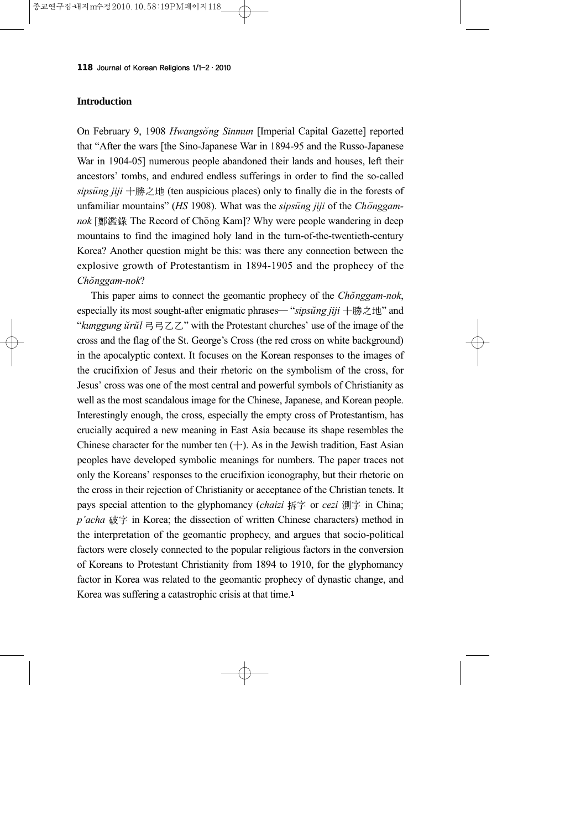## **Introduction**

On February 9, 1908 *Hwangso*̆*ng Sinmun* [Imperial Capital Gazette] reported that "After the wars [the Sino-Japanese War in 1894-95 and the Russo-Japanese War in 1904-05] numerous people abandoned their lands and houses, left their ancestors' tombs, and endured endless sufferings in order to find the so-called *sipsu*̆*ng jiji* ㌢㉩㴝㶀 (ten auspicious places) only to finally die in the forests of unfamiliar mountains" (HS 1908). What was the *sipsung jiji* of the *Chonggamnok* [鄭鑑錄 The Record of Chŏng Kam]? Why were people wandering in deep mountains to find the imagined holy land in the turn-of-the-twentieth-century Korea? Another question might be this: was there any connection between the explosive growth of Protestantism in 1894-1905 and the prophecy of the *Cho*̆*nggam-nok*?

This paper aims to connect the geomantic prophecy of the *Cho*̆*nggam-nok*, especially its most sought-after enigmatic phrases— "*sipsumg jiji* 十勝之地" and "*kunggung u*̆*ru*̆*l* 弓弓㢌㢌" with the Protestant churches' use of the image of the cross and the flag of the St. George's Cross (the red cross on white background) in the apocalyptic context. It focuses on the Korean responses to the images of the crucifixion of Jesus and their rhetoric on the symbolism of the cross, for Jesus' cross was one of the most central and powerful symbols of Christianity as well as the most scandalous image for the Chinese, Japanese, and Korean people. Interestingly enough, the cross, especially the empty cross of Protestantism, has crucially acquired a new meaning in East Asia because its shape resembles the Chinese character for the number ten  $(+)$ . As in the Jewish tradition, East Asian peoples have developed symbolic meanings for numbers. The paper traces not only the Koreans' responses to the crucifixion iconography, but their rhetoric on the cross in their rejection of Christianity or acceptance of the Christian tenets. It pays special attention to the glyphomancy (*chaizi* 拆字 or *cezi* 測字 in China; *p'acha* 䆆㧖 in Korea; the dissection of written Chinese characters) method in the interpretation of the geomantic prophecy, and argues that socio-political factors were closely connected to the popular religious factors in the conversion of Koreans to Protestant Christianity from 1894 to 1910, for the glyphomancy factor in Korea was related to the geomantic prophecy of dynastic change, and Korea was suffering a catastrophic crisis at that time.**<sup>1</sup>**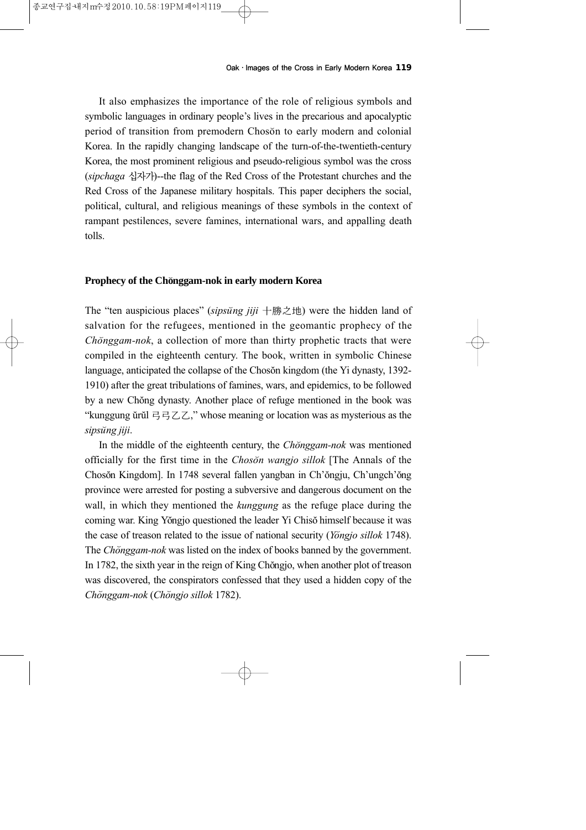It also emphasizes the importance of the role of religious symbols and symbolic languages in ordinary people's lives in the precarious and apocalyptic period of transition from premodern Choson to early modern and colonial Korea. In the rapidly changing landscape of the turn-of-the-twentieth-century Korea, the most prominent religious and pseudo-religious symbol was the cross (*sipchaga* 십자가)--the flag of the Red Cross of the Protestant churches and the Red Cross of the Japanese military hospitals. This paper deciphers the social, political, cultural, and religious meanings of these symbols in the context of rampant pestilences, severe famines, international wars, and appalling death tolls.

#### Prophecy of the Chŏnggam-nok in early modern Korea

The "ten auspicious places" (*sipsũng jiji* 十勝之地) were the hidden land of salvation for the refugees, mentioned in the geomantic prophecy of the *Cho*̆*nggam-nok*, a collection of more than thirty prophetic tracts that were compiled in the eighteenth century. The book, written in symbolic Chinese language, anticipated the collapse of the Choson kingdom (the Yi dynasty, 1392-1910) after the great tribulations of famines, wars, and epidemics, to be followed by a new Chŏng dynasty. Another place of refuge mentioned in the book was "kunggung ŭrŭl  $\exists$   $\exists$   $\exists$   $\angle$   $\angle$ ," whose meaning or location was as mysterious as the *sipsu*̆*ng jiji*.

In the middle of the eighteenth century, the *Cho*̆*nggam-nok* was mentioned officially for the first time in the *Choso*̆*n wangjo sillok* [The Annals of the Chosŏn Kingdom]. In 1748 several fallen yangban in Ch'ŏngju, Ch'ungch'ŏng province were arrested for posting a subversive and dangerous document on the wall, in which they mentioned the *kunggung* as the refuge place during the coming war. King Yongjo questioned the leader Yi Chiso himself because it was the case of treason related to the issue of national security (*Yo*̆*ngjo sillok* 1748). The *Cho*̆*nggam-nok* was listed on the index of books banned by the government. In 1782, the sixth year in the reign of King Chongjo, when another plot of treason was discovered, the conspirators confessed that they used a hidden copy of the *Cho*̆*nggam-nok* (*Cho*̆*ngjo sillok* 1782).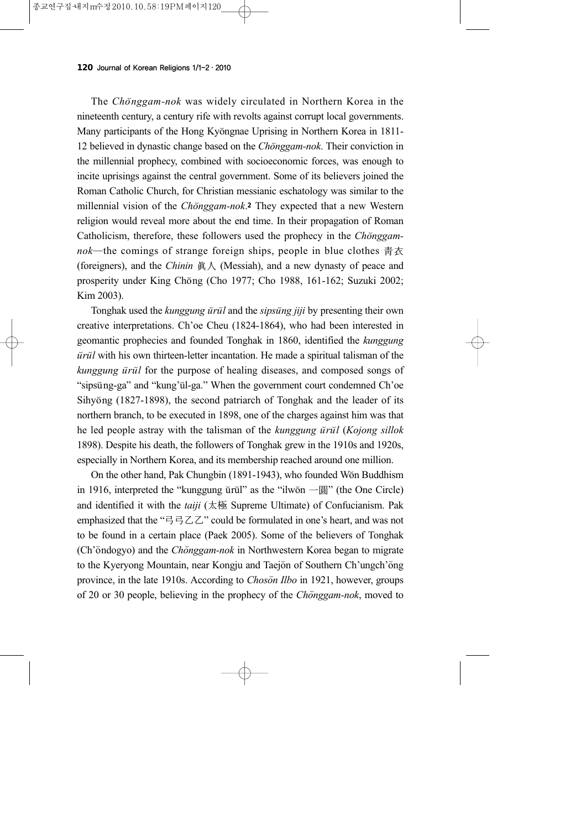The *Cho*̆*nggam-nok* was widely circulated in Northern Korea in the nineteenth century, a century rife with revolts against corrupt local governments. Many participants of the Hong Kyŏngnae Uprising in Northern Korea in 1811-12 believed in dynastic change based on the *Cho*̆*nggam-nok*. Their conviction in the millennial prophecy, combined with socioeconomic forces, was enough to incite uprisings against the central government. Some of its believers joined the Roman Catholic Church, for Christian messianic eschatology was similar to the millennial vision of the *Cho*̆*nggam-nok*.**<sup>2</sup>** They expected that a new Western religion would reveal more about the end time. In their propagation of Roman Catholicism, therefore, these followers used the prophecy in the *Cho*̆*nggamnok*—the comings of strange foreign ships, people in blue clothes  $\# \&$ (foreigners), and the *Chinin*  $\vert \xi \vert$  (Messiah), and a new dynasty of peace and prosperity under King Chöng (Cho 1977; Cho 1988, 161-162; Suzuki 2002; Kim 2003).

Tonghak used the *kunggung u*̆*ru*̆*l* and the *sipsu*̆*ng jiji* by presenting their own creative interpretations. Ch'oe Cheu (1824-1864), who had been interested in geomantic prophecies and founded Tonghak in 1860, identified the *kunggung*  ̆*uru*̆*l* with his own thirteen-letter incantation. He made a spiritual talisman of the *kunggung*  $\tilde{u}$ *rul* for the purpose of healing diseases, and composed songs of "sipsung-ga" and "kung'ŭl-ga." When the government court condemned Ch'oe Sihyŏng (1827-1898), the second patriarch of Tonghak and the leader of its northern branch, to be executed in 1898, one of the charges against him was that he led people astray with the talisman of the *kunggung u*̆*ru*̆*l* (*Kojong sillok* 1898). Despite his death, the followers of Tonghak grew in the 1910s and 1920s, especially in Northern Korea, and its membership reached around one million.

On the other hand, Pak Chungbin (1891-1943), who founded Wŏn Buddhism in 1916, interpreted the "kunggung ürŭl" as the "ilwŏn  $-\parallel$ " (the One Circle) and identified it with the *taiji* (太極 Supreme Ultimate) of Confucianism. Pak emphasized that the "弓弓乙乙" could be formulated in one's heart, and was not to be found in a certain place (Paek 2005). Some of the believers of Tonghak (Ch'ŏndogyo) and the *Cho*̆*nggam-nok* in Northwestern Korea began to migrate to the Kyeryong Mountain, near Kongju and Taejon of Southern Ch'ungch'ong province, in the late 1910s. According to *Choso*̆*n Ilbo* in 1921, however, groups of 20 or 30 people, believing in the prophecy of the *Cho*̆*nggam-nok*, moved to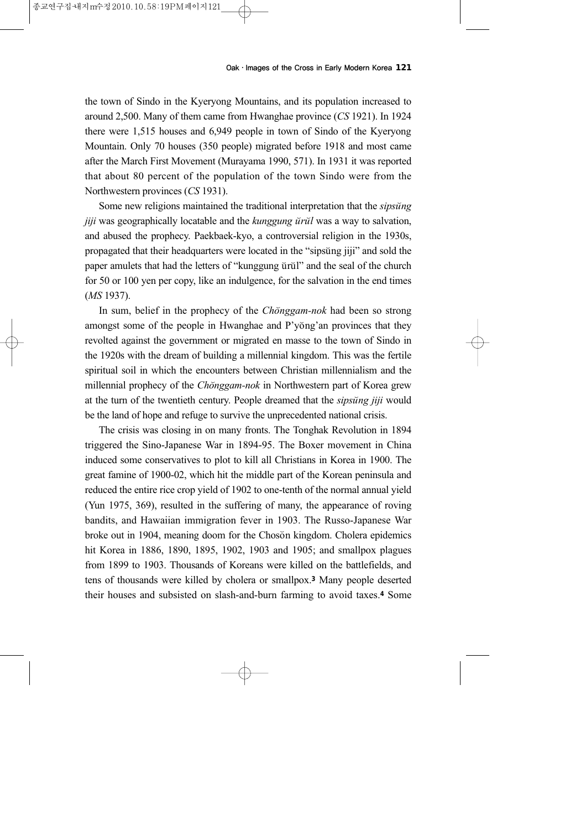the town of Sindo in the Kyeryong Mountains, and its population increased to around 2,500. Many of them came from Hwanghae province (*CS* 1921). In 1924 there were 1,515 houses and 6,949 people in town of Sindo of the Kyeryong Mountain. Only 70 houses (350 people) migrated before 1918 and most came after the March First Movement (Murayama 1990, 571). In 1931 it was reported that about 80 percent of the population of the town Sindo were from the Northwestern provinces (*CS* 1931).

Some new religions maintained the traditional interpretation that the *sipsu*̆*ng jiji* was geographically locatable and the *kunggung ŭrŭl* was a way to salvation, and abused the prophecy. Paekbaek-kyo, a controversial religion in the 1930s, propagated that their headquarters were located in the "sipsŭng jiji" and sold the paper amulets that had the letters of "kunggung ürũl" and the seal of the church for 50 or 100 yen per copy, like an indulgence, for the salvation in the end times (*MS* 1937).

In sum, belief in the prophecy of the *Cho*̆*nggam-nok* had been so strong amongst some of the people in Hwanghae and P'yong'an provinces that they revolted against the government or migrated en masse to the town of Sindo in the 1920s with the dream of building a millennial kingdom. This was the fertile spiritual soil in which the encounters between Christian millennialism and the millennial prophecy of the *Cho*̆*nggam-nok* in Northwestern part of Korea grew at the turn of the twentieth century. People dreamed that the *sipsu*̆*ng jiji* would be the land of hope and refuge to survive the unprecedented national crisis.

The crisis was closing in on many fronts. The Tonghak Revolution in 1894 triggered the Sino-Japanese War in 1894-95. The Boxer movement in China induced some conservatives to plot to kill all Christians in Korea in 1900. The great famine of 1900-02, which hit the middle part of the Korean peninsula and reduced the entire rice crop yield of 1902 to one-tenth of the normal annual yield (Yun 1975, 369), resulted in the suffering of many, the appearance of roving bandits, and Hawaiian immigration fever in 1903. The Russo-Japanese War broke out in 1904, meaning doom for the Choson kingdom. Cholera epidemics hit Korea in 1886, 1890, 1895, 1902, 1903 and 1905; and smallpox plagues from 1899 to 1903. Thousands of Koreans were killed on the battlefields, and tens of thousands were killed by cholera or smallpox.**<sup>3</sup>** Many people deserted their houses and subsisted on slash-and-burn farming to avoid taxes.**<sup>4</sup>** Some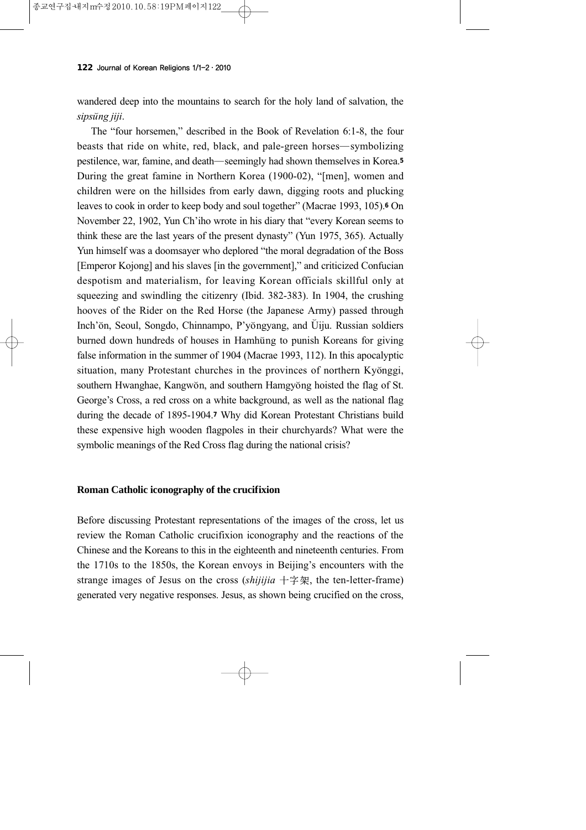wandered deep into the mountains to search for the holy land of salvation, the *sipsu*̆*ng jiji*.

The "four horsemen," described in the Book of Revelation 6:1-8, the four beasts that ride on white, red, black, and pale-green horses—symbolizing pestilence, war, famine, and death—seemingly had shown themselves in Korea.**<sup>5</sup>** During the great famine in Northern Korea (1900-02), "[men], women and children were on the hillsides from early dawn, digging roots and plucking leaves to cook in order to keep body and soul together" (Macrae 1993, 105).**<sup>6</sup>** On November 22, 1902, Yun Ch'iho wrote in his diary that "every Korean seems to think these are the last years of the present dynasty" (Yun 1975, 365). Actually Yun himself was a doomsayer who deplored "the moral degradation of the Boss [Emperor Kojong] and his slaves [in the government]," and criticized Confucian despotism and materialism, for leaving Korean officials skillful only at squeezing and swindling the citizenry (Ibid. 382-383). In 1904, the crushing hooves of the Rider on the Red Horse (the Japanese Army) passed through Inch'on, Seoul, Songdo, Chinnampo, P'yŏngyang, and Uiju. Russian soldiers burned down hundreds of houses in Hamhung to punish Koreans for giving false information in the summer of 1904 (Macrae 1993, 112). In this apocalyptic situation, many Protestant churches in the provinces of northern Kyŏnggi, southern Hwanghae, Kangwŏn, and southern Hamgyŏng hoisted the flag of St. George's Cross, a red cross on a white background, as well as the national flag during the decade of 1895-1904.**<sup>7</sup>** Why did Korean Protestant Christians build these expensive high wooden flagpoles in their churchyards? What were the symbolic meanings of the Red Cross flag during the national crisis?

## **Roman Catholic iconography of the crucifixion**

Before discussing Protestant representations of the images of the cross, let us review the Roman Catholic crucifixion iconography and the reactions of the Chinese and the Koreans to this in the eighteenth and nineteenth centuries. From the 1710s to the 1850s, the Korean envoys in Beijing's encounters with the strange images of Jesus on the cross (*shijijia*  $+ \nightharpoonup \nightharpoonup \nightharpoonup \nightharpoonup$  the ten-letter-frame) generated very negative responses. Jesus, as shown being crucified on the cross,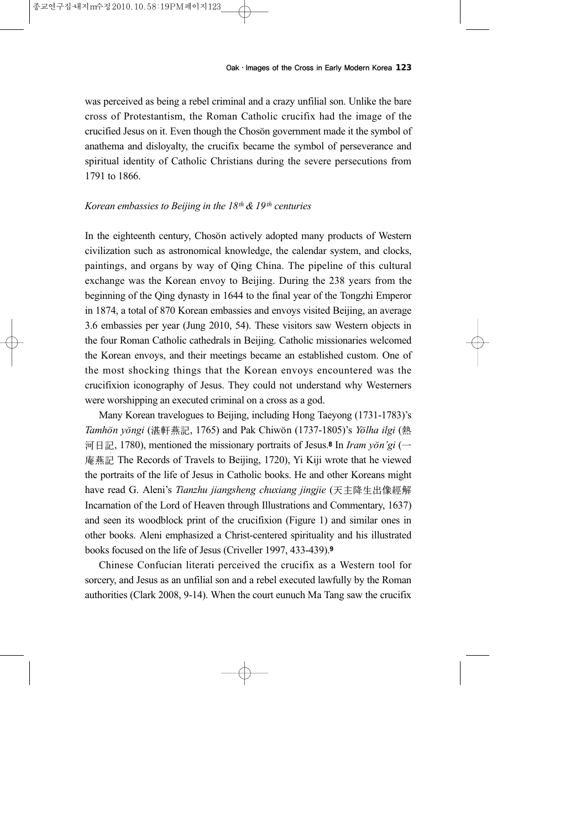was perceived as being a rebel criminal and a crazy unfilial son. Unlike the bare cross of Protestantism, the Roman Catholic crucifix had the image of the crucified Jesus on it. Even though the Chosŏn government made it the symbol of anathema and disloyalty, the crucifix became the symbol of perseverance and spiritual identity of Catholic Christians during the severe persecutions from 1791 to 1866.

## *Korean embassies to Beijing in the 18th & 19th centuries*

In the eighteenth century, Choson actively adopted many products of Western civilization such as astronomical knowledge, the calendar system, and clocks, paintings, and organs by way of Qing China. The pipeline of this cultural exchange was the Korean envoy to Beijing. During the 238 years from the beginning of the Qing dynasty in 1644 to the final year of the Tongzhi Emperor in 1874, a total of 870 Korean embassies and envoys visited Beijing, an average 3.6 embassies per year (Jung 2010, 54). These visitors saw Western objects in the four Roman Catholic cathedrals in Beijing. Catholic missionaries welcomed the Korean envoys, and their meetings became an established custom. One of the most shocking things that the Korean envoys encountered was the crucifixion iconography of Jesus. They could not understand why Westerners were worshipping an executed criminal on a cross as a god.

Many Korean travelogues to Beijing, including Hong Taeyong (1731-1783)'s *Tamho*̆*n yo*̆*ngi* (⚜䎛㓎記, 1765) and Pak Chiwŏn (1737-1805)'s *Yo*̆*lha ilgi* (㓦 河日記, 1780), mentioned the missionary portraits of Jesus.<sup>8</sup> In *Iram yon'gi* ( $\rightarrow$ ㍗㓎記 The Records of Travels to Beijing, 1720), Yi Kiji wrote that he viewed the portraits of the life of Jesus in Catholic books. He and other Koreans might have read G. Aleni's *Tianzhu jiangsheng chuxiang jingjie* (天主降生出像經解 Incarnation of the Lord of Heaven through Illustrations and Commentary, 1637) and seen its woodblock print of the crucifixion (Figure 1) and similar ones in other books. Aleni emphasized a Christ-centered spirituality and his illustrated books focused on the life of Jesus (Criveller 1997, 433-439).**<sup>9</sup>**

Chinese Confucian literati perceived the crucifix as a Western tool for sorcery, and Jesus as an unfilial son and a rebel executed lawfully by the Roman authorities (Clark 2008, 9-14). When the court eunuch Ma Tang saw the crucifix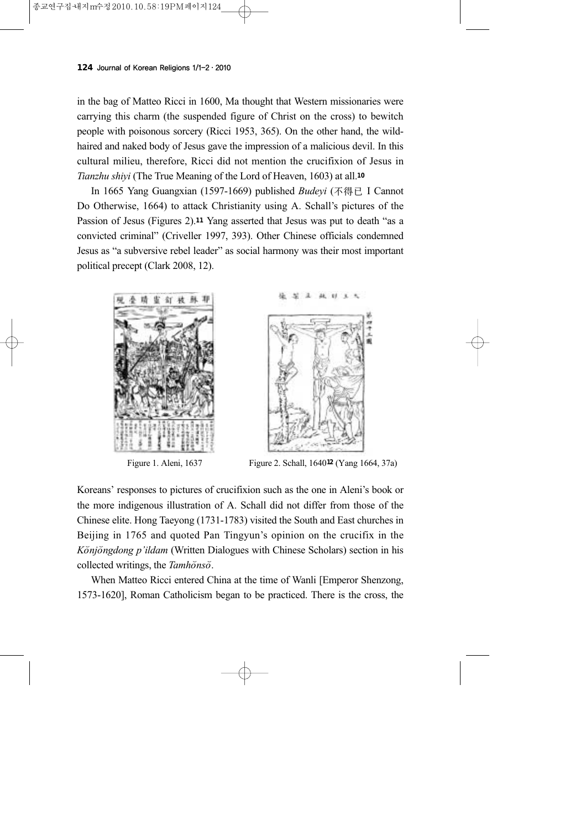in the bag of Matteo Ricci in 1600, Ma thought that Western missionaries were carrying this charm (the suspended figure of Christ on the cross) to bewitch people with poisonous sorcery (Ricci 1953, 365). On the other hand, the wildhaired and naked body of Jesus gave the impression of a malicious devil. In this cultural milieu, therefore, Ricci did not mention the crucifixion of Jesus in *Tianzhu shiyi* (The True Meaning of the Lord of Heaven, 1603) at all.**<sup>10</sup>**

In 1665 Yang Guangxian (1597-1669) published *Budevi* (不得已 I Cannot Do Otherwise, 1664) to attack Christianity using A. Schall's pictures of the Passion of Jesus (Figures 2).**<sup>11</sup>** Yang asserted that Jesus was put to death "as a convicted criminal" (Criveller 1997, 393). Other Chinese officials condemned Jesus as "a subversive rebel leader" as social harmony was their most important political precept (Clark 2008, 12).



極 加 正 批 則 王 九



Figure 1. Aleni, 1637 Figure 2. Schall, 1640<sup>12</sup> (Yang 1664, 37a)

Koreans' responses to pictures of crucifixion such as the one in Aleni's book or the more indigenous illustration of A. Schall did not differ from those of the Chinese elite. Hong Taeyong (1731-1783) visited the South and East churches in Beijing in 1765 and quoted Pan Tingyun's opinion on the crucifix in the *Ko*̆*njo*̆*ngdong p'ildam* (Written Dialogues with Chinese Scholars) section in his collected writings, the *Tamho*̆*nso*̆.

When Matteo Ricci entered China at the time of Wanli [Emperor Shenzong, 1573-1620], Roman Catholicism began to be practiced. There is the cross, the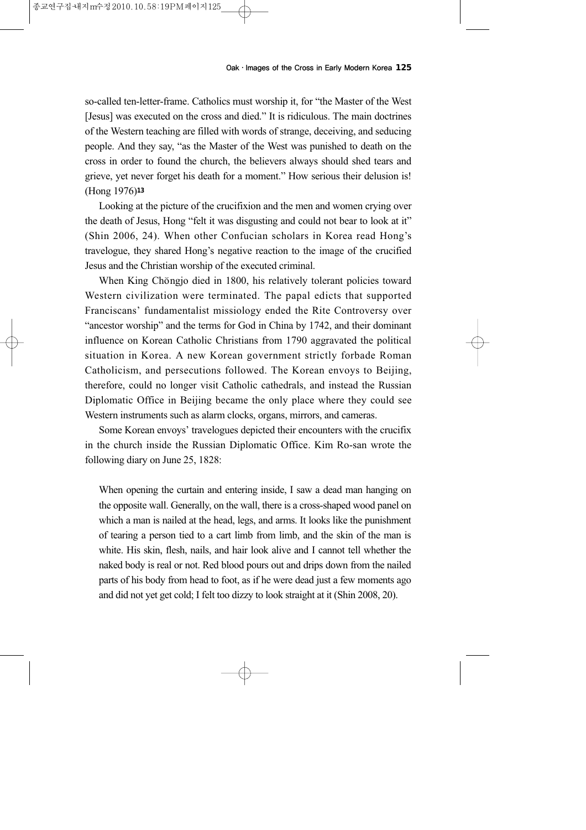so-called ten-letter-frame. Catholics must worship it, for "the Master of the West [Jesus] was executed on the cross and died." It is ridiculous. The main doctrines of the Western teaching are filled with words of strange, deceiving, and seducing people. And they say, "as the Master of the West was punished to death on the cross in order to found the church, the believers always should shed tears and grieve, yet never forget his death for a moment." How serious their delusion is! (Hong 1976)**<sup>13</sup>**

Looking at the picture of the crucifixion and the men and women crying over the death of Jesus, Hong "felt it was disgusting and could not bear to look at it" (Shin 2006, 24). When other Confucian scholars in Korea read Hong's travelogue, they shared Hong's negative reaction to the image of the crucified Jesus and the Christian worship of the executed criminal.

When King Chongjo died in 1800, his relatively tolerant policies toward Western civilization were terminated. The papal edicts that supported Franciscans' fundamentalist missiology ended the Rite Controversy over "ancestor worship" and the terms for God in China by 1742, and their dominant influence on Korean Catholic Christians from 1790 aggravated the political situation in Korea. A new Korean government strictly forbade Roman Catholicism, and persecutions followed. The Korean envoys to Beijing, therefore, could no longer visit Catholic cathedrals, and instead the Russian Diplomatic Office in Beijing became the only place where they could see Western instruments such as alarm clocks, organs, mirrors, and cameras.

Some Korean envoys' travelogues depicted their encounters with the crucifix in the church inside the Russian Diplomatic Office. Kim Ro-san wrote the following diary on June 25, 1828:

When opening the curtain and entering inside, I saw a dead man hanging on the opposite wall. Generally, on the wall, there is a cross-shaped wood panel on which a man is nailed at the head, legs, and arms. It looks like the punishment of tearing a person tied to a cart limb from limb, and the skin of the man is white. His skin, flesh, nails, and hair look alive and I cannot tell whether the naked body is real or not. Red blood pours out and drips down from the nailed parts of his body from head to foot, as if he were dead just a few moments ago and did not yet get cold; I felt too dizzy to look straight at it (Shin 2008, 20).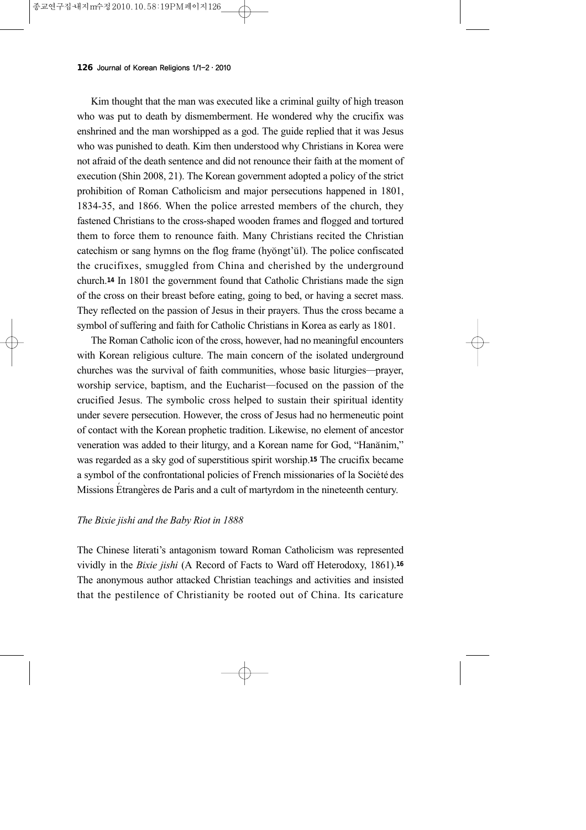Kim thought that the man was executed like a criminal guilty of high treason who was put to death by dismemberment. He wondered why the crucifix was enshrined and the man worshipped as a god. The guide replied that it was Jesus who was punished to death. Kim then understood why Christians in Korea were not afraid of the death sentence and did not renounce their faith at the moment of execution (Shin 2008, 21). The Korean government adopted a policy of the strict prohibition of Roman Catholicism and major persecutions happened in 1801, 1834-35, and 1866. When the police arrested members of the church, they fastened Christians to the cross-shaped wooden frames and flogged and tortured them to force them to renounce faith. Many Christians recited the Christian catechism or sang hymns on the flog frame (hyongt'ŭl). The police confiscated the crucifixes, smuggled from China and cherished by the underground church.**<sup>14</sup>** In 1801 the government found that Catholic Christians made the sign of the cross on their breast before eating, going to bed, or having a secret mass. They reflected on the passion of Jesus in their prayers. Thus the cross became a symbol of suffering and faith for Catholic Christians in Korea as early as 1801.

The Roman Catholic icon of the cross, however, had no meaningful encounters with Korean religious culture. The main concern of the isolated underground churches was the survival of faith communities, whose basic liturgies—prayer, worship service, baptism, and the Eucharist—focused on the passion of the crucified Jesus. The symbolic cross helped to sustain their spiritual identity under severe persecution. However, the cross of Jesus had no hermeneutic point of contact with the Korean prophetic tradition. Likewise, no element of ancestor veneration was added to their liturgy, and a Korean name for God, "Hanănim," was regarded as a sky god of superstitious spirit worship.**<sup>15</sup>** The crucifix became a symbol of the confrontational policies of French missionaries of la Société des Missions Etrangeres de Paris and a cult of martyrdom in the nineteenth century.

#### *The Bixie jishi and the Baby Riot in 1888*

The Chinese literati's antagonism toward Roman Catholicism was represented vividly in the *Bixie jishi* (A Record of Facts to Ward off Heterodoxy, 1861).**<sup>16</sup>** The anonymous author attacked Christian teachings and activities and insisted that the pestilence of Christianity be rooted out of China. Its caricature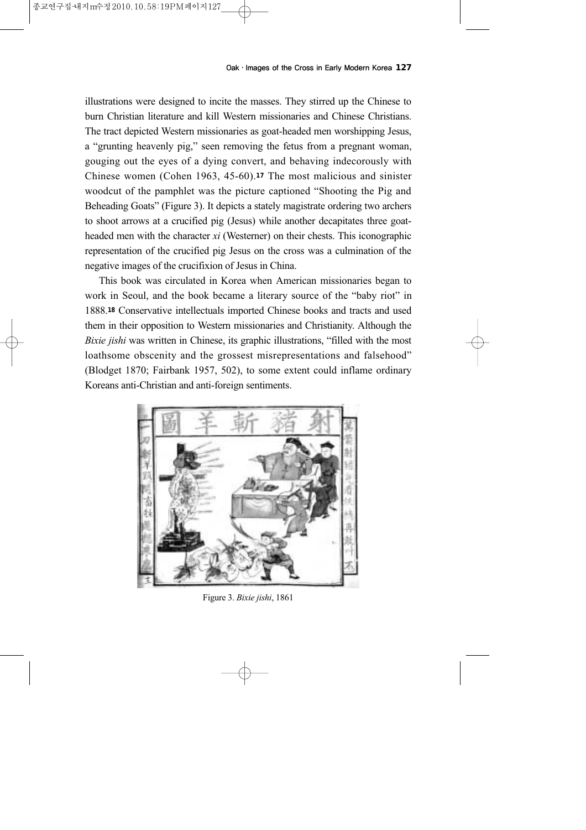illustrations were designed to incite the masses. They stirred up the Chinese to burn Christian literature and kill Western missionaries and Chinese Christians. The tract depicted Western missionaries as goat-headed men worshipping Jesus, a "grunting heavenly pig," seen removing the fetus from a pregnant woman, gouging out the eyes of a dying convert, and behaving indecorously with Chinese women (Cohen 1963, 45-60).**<sup>17</sup>** The most malicious and sinister woodcut of the pamphlet was the picture captioned "Shooting the Pig and Beheading Goats" (Figure 3). It depicts a stately magistrate ordering two archers to shoot arrows at a crucified pig (Jesus) while another decapitates three goatheaded men with the character *xi* (Westerner) on their chests. This iconographic representation of the crucified pig Jesus on the cross was a culmination of the negative images of the crucifixion of Jesus in China.

This book was circulated in Korea when American missionaries began to work in Seoul, and the book became a literary source of the "baby riot" in 1888.**<sup>18</sup>** Conservative intellectuals imported Chinese books and tracts and used them in their opposition to Western missionaries and Christianity. Although the *Bixie jishi* was written in Chinese, its graphic illustrations, "filled with the most loathsome obscenity and the grossest misrepresentations and falsehood" (Blodget 1870; Fairbank 1957, 502), to some extent could inflame ordinary Koreans anti-Christian and anti-foreign sentiments.



Figure 3. *Bixie jishi*, 1861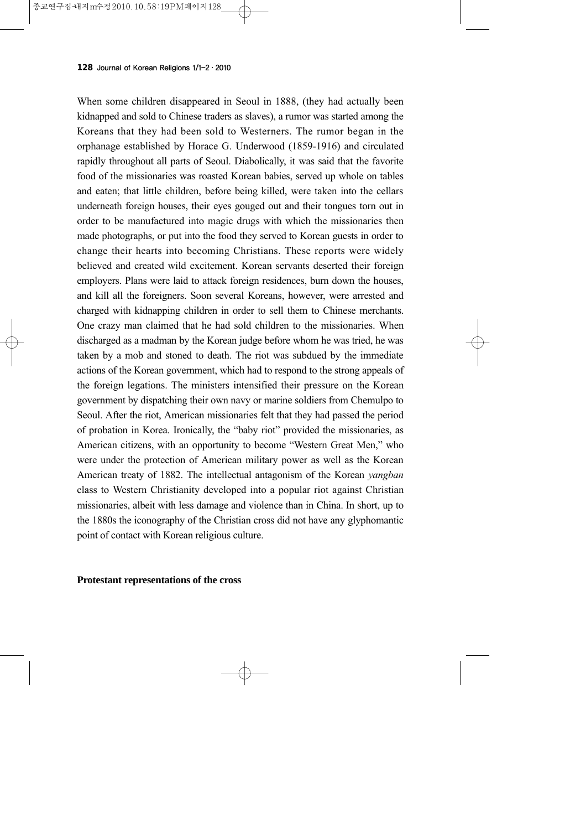When some children disappeared in Seoul in 1888, (they had actually been kidnapped and sold to Chinese traders as slaves), a rumor was started among the Koreans that they had been sold to Westerners. The rumor began in the orphanage established by Horace G. Underwood (1859-1916) and circulated rapidly throughout all parts of Seoul. Diabolically, it was said that the favorite food of the missionaries was roasted Korean babies, served up whole on tables and eaten; that little children, before being killed, were taken into the cellars underneath foreign houses, their eyes gouged out and their tongues torn out in order to be manufactured into magic drugs with which the missionaries then made photographs, or put into the food they served to Korean guests in order to change their hearts into becoming Christians. These reports were widely believed and created wild excitement. Korean servants deserted their foreign employers. Plans were laid to attack foreign residences, burn down the houses, and kill all the foreigners. Soon several Koreans, however, were arrested and charged with kidnapping children in order to sell them to Chinese merchants. One crazy man claimed that he had sold children to the missionaries. When discharged as a madman by the Korean judge before whom he was tried, he was taken by a mob and stoned to death. The riot was subdued by the immediate actions of the Korean government, which had to respond to the strong appeals of the foreign legations. The ministers intensified their pressure on the Korean government by dispatching their own navy or marine soldiers from Chemulpo to Seoul. After the riot, American missionaries felt that they had passed the period of probation in Korea. Ironically, the "baby riot" provided the missionaries, as American citizens, with an opportunity to become "Western Great Men," who were under the protection of American military power as well as the Korean American treaty of 1882. The intellectual antagonism of the Korean *yangban* class to Western Christianity developed into a popular riot against Christian missionaries, albeit with less damage and violence than in China. In short, up to the 1880s the iconography of the Christian cross did not have any glyphomantic point of contact with Korean religious culture.

#### **Protestant representations of the cross**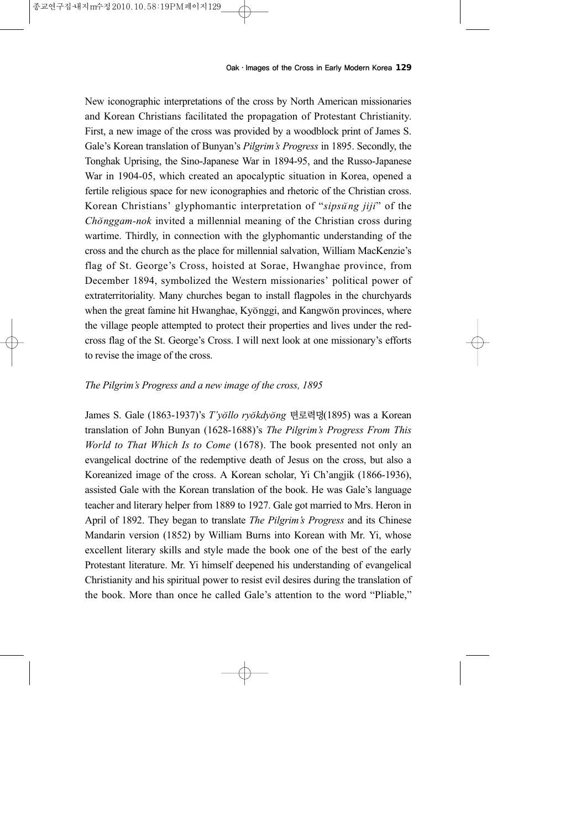New iconographic interpretations of the cross by North American missionaries and Korean Christians facilitated the propagation of Protestant Christianity. First, a new image of the cross was provided by a woodblock print of James S. Gale's Korean translation of Bunyan's *Pilgrim's Progress* in 1895. Secondly, the Tonghak Uprising, the Sino-Japanese War in 1894-95, and the Russo-Japanese War in 1904-05, which created an apocalyptic situation in Korea, opened a fertile religious space for new iconographies and rhetoric of the Christian cross. Korean Christians' glyphomantic interpretation of "*sipsu*̆*ng jiji*" of the *Cho*̆*nggam-nok* invited a millennial meaning of the Christian cross during wartime. Thirdly, in connection with the glyphomantic understanding of the cross and the church as the place for millennial salvation, William MacKenzie's flag of St. George's Cross, hoisted at Sorae, Hwanghae province, from December 1894, symbolized the Western missionaries' political power of extraterritoriality. Many churches began to install flagpoles in the churchyards when the great famine hit Hwanghae, Kyŏnggi, and Kangwŏn provinces, where the village people attempted to protect their properties and lives under the redcross flag of the St. George's Cross. I will next look at one missionary's efforts to revise the image of the cross.

## *The Pilgrim's Progress and a new image of the cross, 1895*

James S. Gale (1863-1937)'s *T'yo*̆*llo ryo*̆*kdyo*̆*ng* 텬로력뎡(1895) was a Korean translation of John Bunyan (1628-1688)'s *The Pilgrim's Progress From This World to That Which Is to Come* (1678). The book presented not only an evangelical doctrine of the redemptive death of Jesus on the cross, but also a Koreanized image of the cross. A Korean scholar, Yi Ch'angjik (1866-1936), assisted Gale with the Korean translation of the book. He was Gale's language teacher and literary helper from 1889 to 1927. Gale got married to Mrs. Heron in April of 1892. They began to translate *The Pilgrim's Progress* and its Chinese Mandarin version (1852) by William Burns into Korean with Mr. Yi, whose excellent literary skills and style made the book one of the best of the early Protestant literature. Mr. Yi himself deepened his understanding of evangelical Christianity and his spiritual power to resist evil desires during the translation of the book. More than once he called Gale's attention to the word "Pliable,"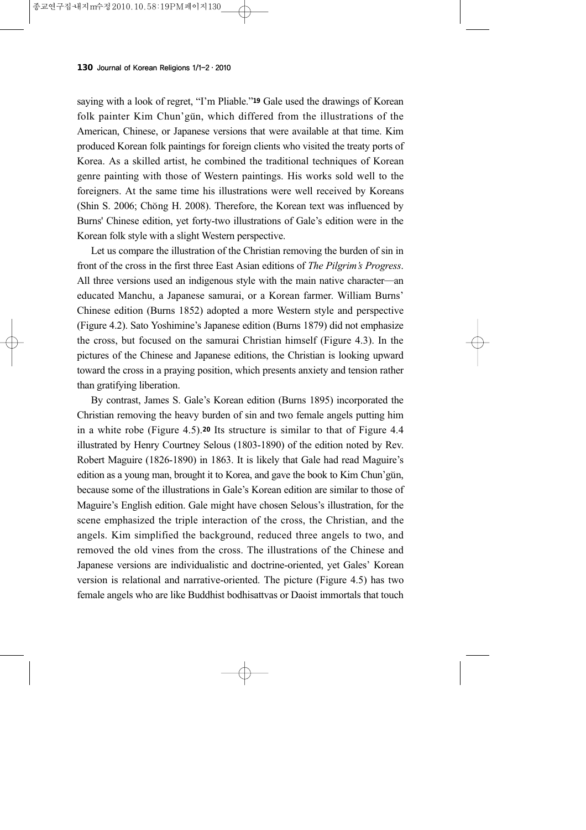saying with a look of regret, "I'm Pliable."**<sup>19</sup>** Gale used the drawings of Korean folk painter Kim Chun'gun, which differed from the illustrations of the American, Chinese, or Japanese versions that were available at that time. Kim produced Korean folk paintings for foreign clients who visited the treaty ports of Korea. As a skilled artist, he combined the traditional techniques of Korean genre painting with those of Western paintings. His works sold well to the foreigners. At the same time his illustrations were well received by Koreans (Shin S. 2006; Chong H. 2008). Therefore, the Korean text was influenced by Burns' Chinese edition, yet forty-two illustrations of Gale's edition were in the Korean folk style with a slight Western perspective.

Let us compare the illustration of the Christian removing the burden of sin in front of the cross in the first three East Asian editions of *The Pilgrim's Progress*. All three versions used an indigenous style with the main native character—an educated Manchu, a Japanese samurai, or a Korean farmer. William Burns' Chinese edition (Burns 1852) adopted a more Western style and perspective (Figure 4.2). Sato Yoshimine's Japanese edition (Burns 1879) did not emphasize the cross, but focused on the samurai Christian himself (Figure 4.3). In the pictures of the Chinese and Japanese editions, the Christian is looking upward toward the cross in a praying position, which presents anxiety and tension rather than gratifying liberation.

By contrast, James S. Gale's Korean edition (Burns 1895) incorporated the Christian removing the heavy burden of sin and two female angels putting him in a white robe (Figure 4.5).**<sup>20</sup>** Its structure is similar to that of Figure 4.4 illustrated by Henry Courtney Selous (1803-1890) of the edition noted by Rev. Robert Maguire (1826-1890) in 1863. It is likely that Gale had read Maguire's edition as a young man, brought it to Korea, and gave the book to Kim Chun'gun, because some of the illustrations in Gale's Korean edition are similar to those of Maguire's English edition. Gale might have chosen Selous's illustration, for the scene emphasized the triple interaction of the cross, the Christian, and the angels. Kim simplified the background, reduced three angels to two, and removed the old vines from the cross. The illustrations of the Chinese and Japanese versions are individualistic and doctrine-oriented, yet Gales' Korean version is relational and narrative-oriented. The picture (Figure 4.5) has two female angels who are like Buddhist bodhisattvas or Daoist immortals that touch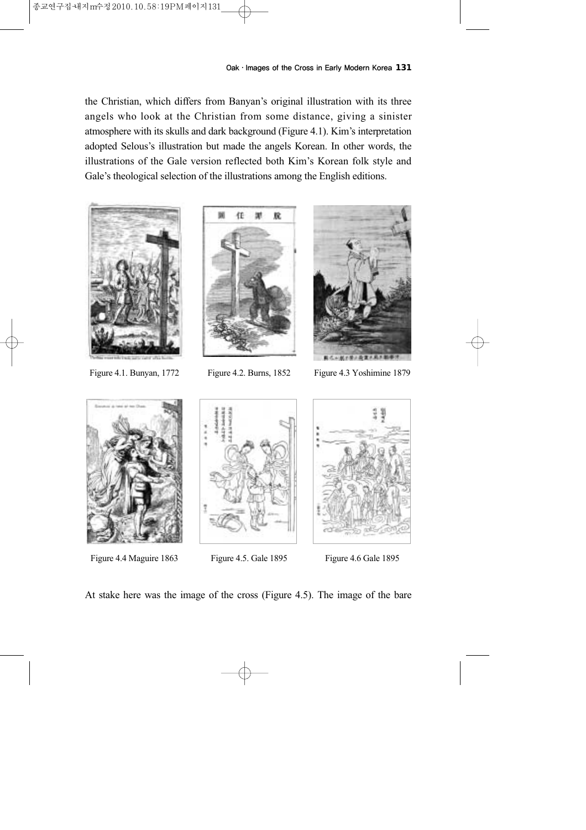the Christian, which differs from Banyan's original illustration with its three angels who look at the Christian from some distance, giving a sinister atmosphere with its skulls and dark background (Figure 4.1). Kim's interpretation adopted Selous's illustration but made the angels Korean. In other words, the illustrations of the Gale version reflected both Kim's Korean folk style and Gale's theological selection of the illustrations among the English editions.







Figure 4.1. Bunyan, 1772 Figure 4.2. Burns, 1852 Figure 4.3 Yoshimine 1879



Figure 4.4 Maguire 1863 Figure 4.5. Gale 1895 Figure 4.6 Gale 1895

At stake here was the image of the cross (Figure 4.5). The image of the bare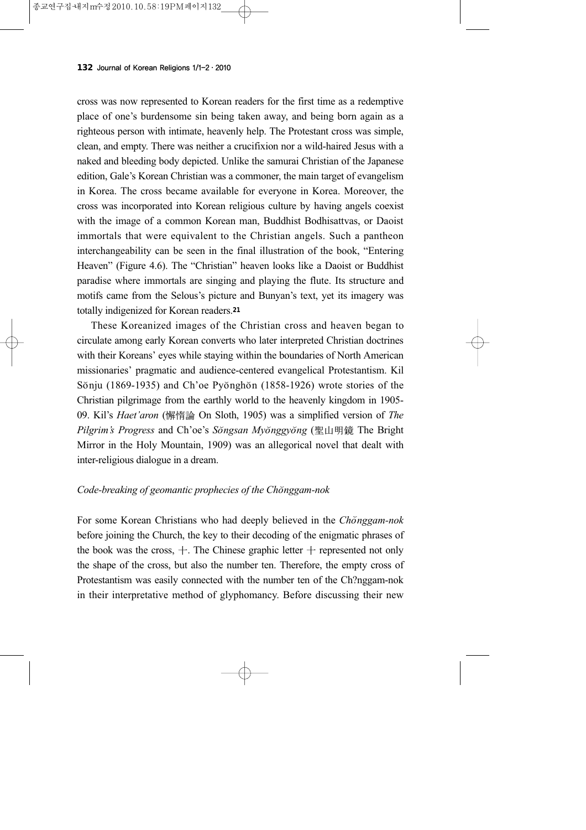cross was now represented to Korean readers for the first time as a redemptive place of one's burdensome sin being taken away, and being born again as a righteous person with intimate, heavenly help. The Protestant cross was simple, clean, and empty. There was neither a crucifixion nor a wild-haired Jesus with a naked and bleeding body depicted. Unlike the samurai Christian of the Japanese edition, Gale's Korean Christian was a commoner, the main target of evangelism in Korea. The cross became available for everyone in Korea. Moreover, the cross was incorporated into Korean religious culture by having angels coexist with the image of a common Korean man, Buddhist Bodhisattvas, or Daoist immortals that were equivalent to the Christian angels. Such a pantheon interchangeability can be seen in the final illustration of the book, "Entering Heaven" (Figure 4.6). The "Christian" heaven looks like a Daoist or Buddhist paradise where immortals are singing and playing the flute. Its structure and motifs came from the Selous's picture and Bunyan's text, yet its imagery was totally indigenized for Korean readers.**<sup>21</sup>**

These Koreanized images of the Christian cross and heaven began to circulate among early Korean converts who later interpreted Christian doctrines with their Koreans' eyes while staying within the boundaries of North American missionaries' pragmatic and audience-centered evangelical Protestantism. Kil Sŏnju (1869-1935) and Ch'oe Pyŏnghŏn (1858-1926) wrote stories of the Christian pilgrimage from the earthly world to the heavenly kingdom in 1905- 09. Kil's *Haet'aron* (䍹䂽⣻ On Sloth, 1905) was a simplified version of *The Pilgrim's Progress* and Ch'oe's *Songsan Myonggyong* (聖山明鏡 The Bright Mirror in the Holy Mountain, 1909) was an allegorical novel that dealt with inter-religious dialogue in a dream.

## *Code-breaking of geomantic prophecies of the Cho*̆*nggam-nok*

For some Korean Christians who had deeply believed in the *Cho*̆*nggam-nok* before joining the Church, the key to their decoding of the enigmatic phrases of the book was the cross,  $\pm$ . The Chinese graphic letter  $\pm$  represented not only the shape of the cross, but also the number ten. Therefore, the empty cross of Protestantism was easily connected with the number ten of the Ch?nggam-nok in their interpretative method of glyphomancy. Before discussing their new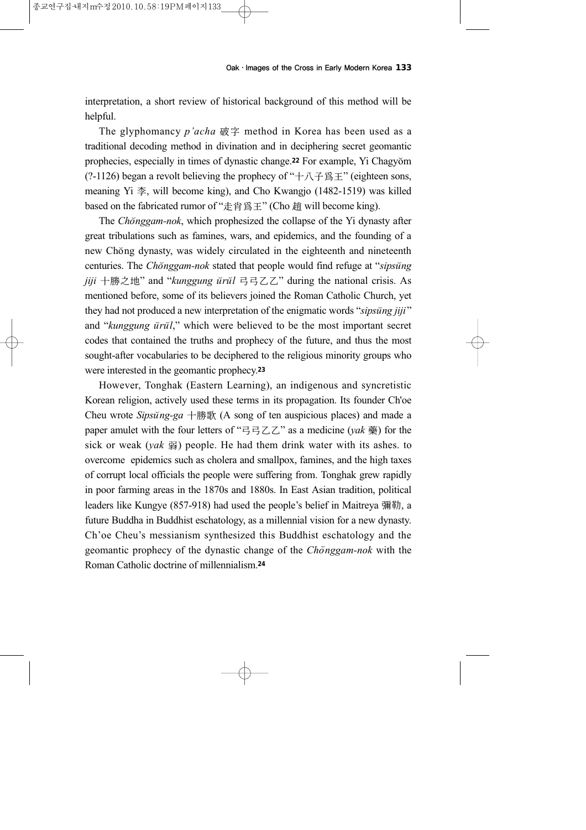interpretation, a short review of historical background of this method will be helpful.

The glyphomancy *p'acha* 破字 method in Korea has been used as a traditional decoding method in divination and in deciphering secret geomantic prophecies, especially in times of dynastic change.**<sup>22</sup>** For example, Yi Chagyŏm (?-1126) began a revolt believing the prophecy of " $+ \lambda + \mathbb{R}$   $\pm$ " (eighteen sons, meaning  $Yi \ncong$ , will become king), and Cho Kwangjo (1482-1519) was killed based on the fabricated rumor of " $\pm$  of  $\mathbb{R}$   $\pm$ " (Cho  $\pm$  will become king).

The *Chŏnggam-nok*, which prophesized the collapse of the Yi dynasty after great tribulations such as famines, wars, and epidemics, and the founding of a new Chong dynasty, was widely circulated in the eighteenth and nineteenth centuries. The *Cho*̆*nggam-nok* stated that people would find refuge at "*sipsu*̆*ng jiji* ㌢㉩㴝㶀" and "*kunggung u*̆*ru*̆*l* 弓弓㢌㢌" during the national crisis. As mentioned before, some of its believers joined the Roman Catholic Church, yet they had not produced a new interpretation of the enigmatic words "*sipsu*̆*ng jiji*" and "*kunggung ŭrŭl*," which were believed to be the most important secret codes that contained the truths and prophecy of the future, and thus the most sought-after vocabularies to be deciphered to the religious minority groups who were interested in the geomantic prophecy.**<sup>23</sup>**

However, Tonghak (Eastern Learning), an indigenous and syncretistic Korean religion, actively used these terms in its propagation. Its founder Ch'oe Cheu wrote *Sipsu*̆*ng-ga* ㌢㉩歌 (A song of ten auspicious places) and made a paper amulet with the four letters of "弓弓乙乙" as a medicine (*yak* 藥) for the sick or weak (*yak*  $\frac{1}{2}$ ) people. He had them drink water with its ashes. to overcome epidemics such as cholera and smallpox, famines, and the high taxes of corrupt local officials the people were suffering from. Tonghak grew rapidly in poor farming areas in the 1870s and 1880s. In East Asian tradition, political leaders like Kungye (857-918) had used the people's belief in Maitreya 彌勒, a future Buddha in Buddhist eschatology, as a millennial vision for a new dynasty. Ch'oe Cheu's messianism synthesized this Buddhist eschatology and the geomantic prophecy of the dynastic change of the *Cho*̆*nggam-nok* with the Roman Catholic doctrine of millennialism.**<sup>24</sup>**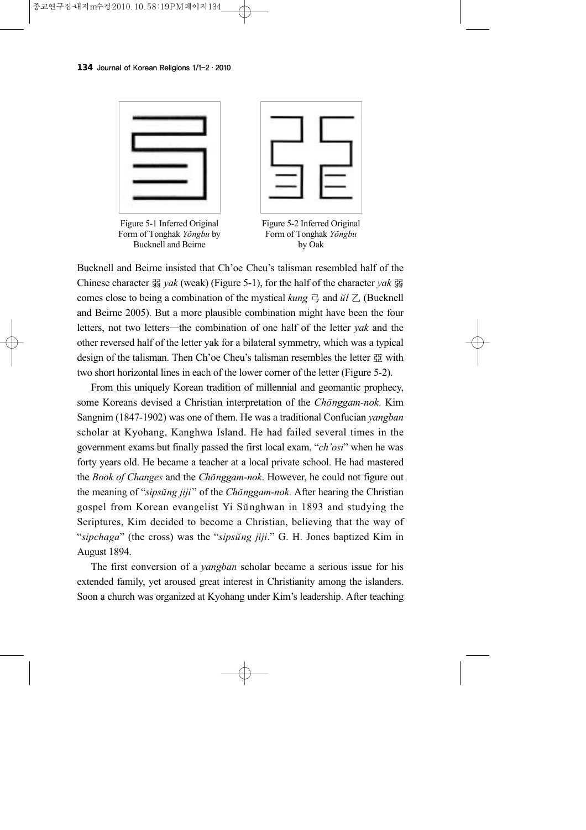

Figure 5-1 Inferred Original Form of Tonghak *Yo*̆*ngbu* by Bucknell and Beirne



Figure 5-2 Inferred Original Form of Tonghak *Yo*̆*ngbu* by Oak

Bucknell and Beirne insisted that Ch'oe Cheu's talisman resembled half of the Chinese character  $\frac{1}{2}$  *yak* (weak) (Figure 5-1), for the half of the character *yak*  $\frac{1}{2}$ comes close to being a combination of the mystical  $kung \equiv$  and  $\tilde{u}l \not\sqsubset$  (Bucknell and Beirne 2005). But a more plausible combination might have been the four letters, not two letters—the combination of one half of the letter *yak* and the other reversed half of the letter yak for a bilateral symmetry, which was a typical design of the talisman. Then Ch'oe Cheu's talisman resembles the letter  $\mathcal{F}_{\mathcal{D}}$  with two short horizontal lines in each of the lower corner of the letter (Figure 5-2).

From this uniquely Korean tradition of millennial and geomantic prophecy, some Koreans devised a Christian interpretation of the *Cho*̆*nggam-nok*. Kim Sangnim (1847-1902) was one of them. He was a traditional Confucian *yangban* scholar at Kyohang, Kanghwa Island. He had failed several times in the government exams but finally passed the first local exam, "*ch'osi*" when he was forty years old. He became a teacher at a local private school. He had mastered the *Book of Changes* and the *Cho*̆*nggam-nok*. However, he could not figure out the meaning of "*sipsu*̆*ng jiji*" of the *Cho*̆*nggam-nok*. After hearing the Christian gospel from Korean evangelist Yi Sŭnghwan in 1893 and studying the Scriptures, Kim decided to become a Christian, believing that the way of "*sipchaga*" (the cross) was the "*sipsu*̆*ng jiji*." G. H. Jones baptized Kim in August 1894.

The first conversion of a *yangban* scholar became a serious issue for his extended family, yet aroused great interest in Christianity among the islanders. Soon a church was organized at Kyohang under Kim's leadership. After teaching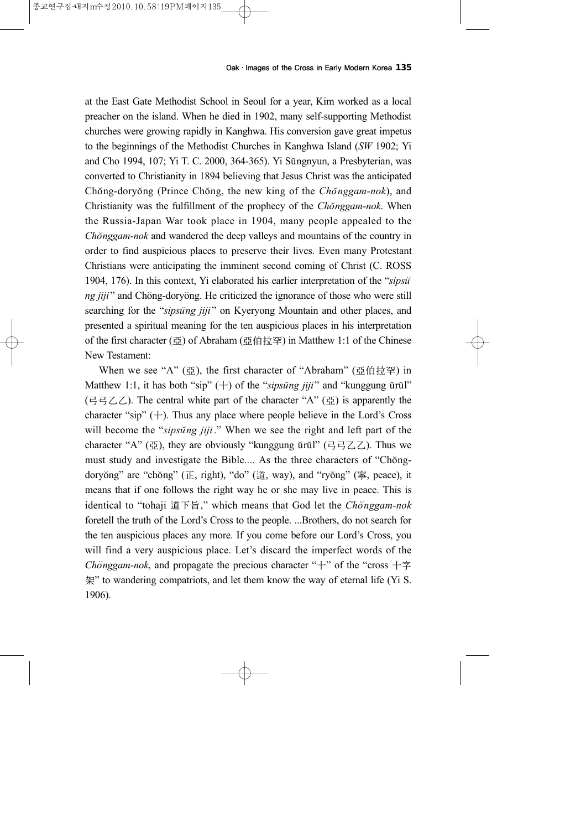at the East Gate Methodist School in Seoul for a year, Kim worked as a local preacher on the island. When he died in 1902, many self-supporting Methodist churches were growing rapidly in Kanghwa. His conversion gave great impetus to the beginnings of the Methodist Churches in Kanghwa Island (*SW* 1902; Yi and Cho 1994, 107; Yi T. C. 2000, 364-365). Yi Sŭngnyun, a Presbyterian, was converted to Christianity in 1894 believing that Jesus Christ was the anticipated Chong-doryong (Prince Chong, the new king of the *Chonggam-nok*), and Christianity was the fulfillment of the prophecy of the *Cho*̆*nggam-nok*. When the Russia-Japan War took place in 1904, many people appealed to the *Ch*<sup>o</sup>nggam-nok and wandered the deep valleys and mountains of the country in order to find auspicious places to preserve their lives. Even many Protestant Christians were anticipating the imminent second coming of Christ (C. ROSS 1904, 176). In this context, Yi elaborated his earlier interpretation of the "*sipsu*̆ *ng jiji*" and Chŏng-doryŏng. He criticized the ignorance of those who were still searching for the "*sipsu*̆*ng jiji*" on Kyeryong Mountain and other places, and presented a spiritual meaning for the ten auspicious places in his interpretation of the first character (亞) of Abraham (亞伯拉罕) in Matthew 1:1 of the Chinese New Testament:

When we see "A" (亞), the first character of "Abraham" (亞伯拉罕) in Matthew 1:1, it has both "sip"  $(+)$  of the "*sipsung jiji*" and "kunggung urul" (弓弓乙乙). The central white part of the character "A" (亞) is apparently the character "sip"  $(+)$ . Thus any place where people believe in the Lord's Cross will become the "*sipsung jiji*." When we see the right and left part of the character "A" (亞), they are obviously "kunggung  $\tilde{u}$ rũl" (弓弓乙乙). Thus we must study and investigate the Bible.... As the three characters of "Chongdoryŏng" are "chŏng" ( $\mathbb{F}$ , right), "do" ( $\ddot{\mathbb{A}}$ , way), and "ryŏng" ( $\ddot{\mathbb{E}}$ , peace), it means that if one follows the right way he or she may live in peace. This is identical to "tohaji 道下旨," which means that God let the *Chŏnggam-nok* foretell the truth of the Lord's Cross to the people. ...Brothers, do not search for the ten auspicious places any more. If you come before our Lord's Cross, you will find a very auspicious place. Let's discard the imperfect words of the *Ch*<sup> $\tilde{o}$ </sup>*nggam-nok*, and propagate the precious character " $+$ " of the "cross  $+$  $\tilde{\pm}$ " 架" to wandering compatriots, and let them know the way of eternal life (Yi S. 1906).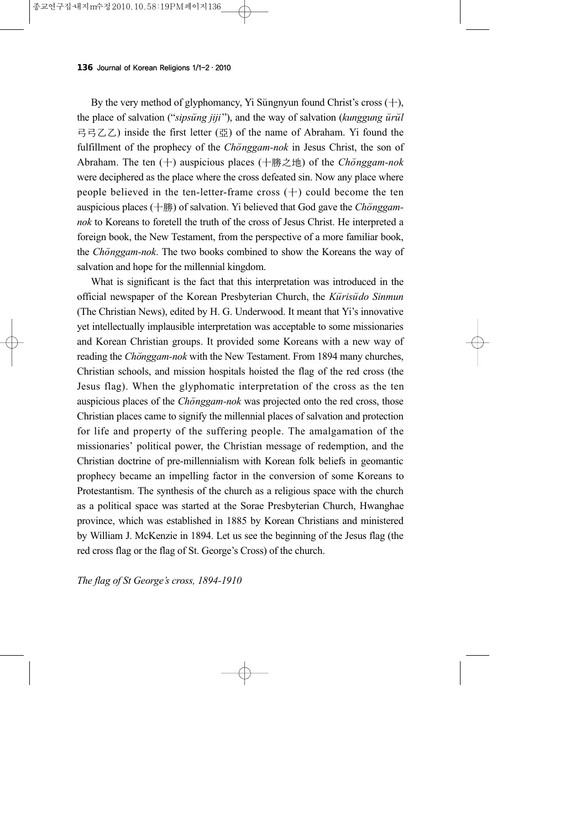By the very method of glyphomancy, Yi Süngnyun found Christ's cross  $(+)$ , the place of salvation ("*sipsu*̆*ng jiji*"), and the way of salvation (*kunggung u*̆*ru*̆*l* 弓弓㢌㢌) inside the first letter (㌦) of the name of Abraham. Yi found the fulfillment of the prophecy of the *Chonggam-nok* in Jesus Christ, the son of Abraham. The ten (㌢) auspicious places (㌢㉩㴝㶀) of the *Cho*̆*nggam-nok* were deciphered as the place where the cross defeated sin. Now any place where people believed in the ten-letter-frame cross  $(+)$  could become the ten auspicious places (十勝) of salvation. Yi believed that God gave the *Chönggamnok* to Koreans to foretell the truth of the cross of Jesus Christ. He interpreted a foreign book, the New Testament, from the perspective of a more familiar book, the *Cho*̆*nggam-nok*. The two books combined to show the Koreans the way of salvation and hope for the millennial kingdom.

What is significant is the fact that this interpretation was introduced in the official newspaper of the Korean Presbyterian Church, the *Ku*̆*risu*̆*do Sinmun* (The Christian News), edited by H. G. Underwood. It meant that Yi's innovative yet intellectually implausible interpretation was acceptable to some missionaries and Korean Christian groups. It provided some Koreans with a new way of reading the *Cho*̆*nggam-nok* with the New Testament. From 1894 many churches, Christian schools, and mission hospitals hoisted the flag of the red cross (the Jesus flag). When the glyphomatic interpretation of the cross as the ten auspicious places of the *Chŏnggam-nok* was projected onto the red cross, those Christian places came to signify the millennial places of salvation and protection for life and property of the suffering people. The amalgamation of the missionaries' political power, the Christian message of redemption, and the Christian doctrine of pre-millennialism with Korean folk beliefs in geomantic prophecy became an impelling factor in the conversion of some Koreans to Protestantism. The synthesis of the church as a religious space with the church as a political space was started at the Sorae Presbyterian Church, Hwanghae province, which was established in 1885 by Korean Christians and ministered by William J. McKenzie in 1894. Let us see the beginning of the Jesus flag (the red cross flag or the flag of St. George's Cross) of the church.

*The flag of St George's cross, 1894-1910*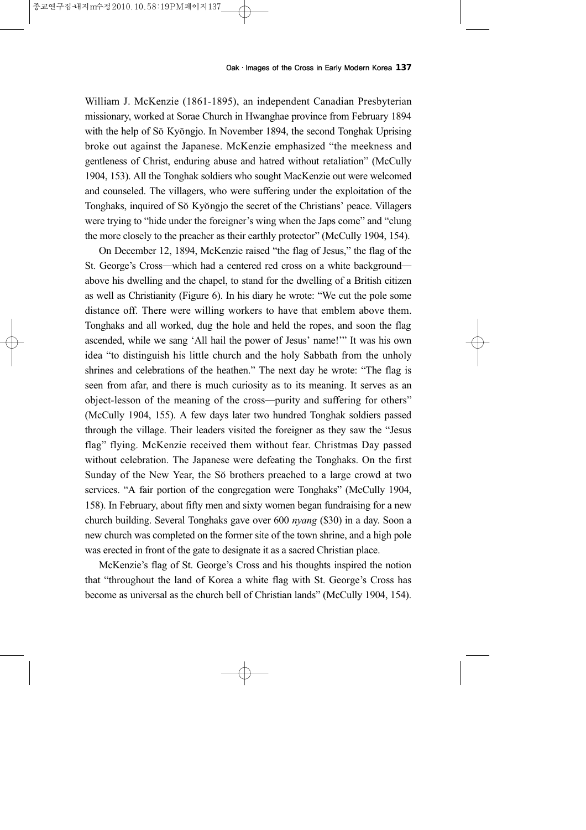William J. McKenzie (1861-1895), an independent Canadian Presbyterian missionary, worked at Sorae Church in Hwanghae province from February 1894 with the help of Sŏ Kyŏngjo. In November 1894, the second Tonghak Uprising broke out against the Japanese. McKenzie emphasized "the meekness and gentleness of Christ, enduring abuse and hatred without retaliation" (McCully 1904, 153). All the Tonghak soldiers who sought MacKenzie out were welcomed and counseled. The villagers, who were suffering under the exploitation of the Tonghaks, inquired of Sŏ Kyŏngjo the secret of the Christians' peace. Villagers were trying to "hide under the foreigner's wing when the Japs come" and "clung the more closely to the preacher as their earthly protector" (McCully 1904, 154).

On December 12, 1894, McKenzie raised "the flag of Jesus," the flag of the St. George's Cross—which had a centered red cross on a white background above his dwelling and the chapel, to stand for the dwelling of a British citizen as well as Christianity (Figure 6). In his diary he wrote: "We cut the pole some distance off. There were willing workers to have that emblem above them. Tonghaks and all worked, dug the hole and held the ropes, and soon the flag ascended, while we sang 'All hail the power of Jesus' name!'" It was his own idea "to distinguish his little church and the holy Sabbath from the unholy shrines and celebrations of the heathen." The next day he wrote: "The flag is seen from afar, and there is much curiosity as to its meaning. It serves as an object-lesson of the meaning of the cross—purity and suffering for others" (McCully 1904, 155). A few days later two hundred Tonghak soldiers passed through the village. Their leaders visited the foreigner as they saw the "Jesus flag" flying. McKenzie received them without fear. Christmas Day passed without celebration. The Japanese were defeating the Tonghaks. On the first Sunday of the New Year, the So brothers preached to a large crowd at two services. "A fair portion of the congregation were Tonghaks" (McCully 1904, 158). In February, about fifty men and sixty women began fundraising for a new church building. Several Tonghaks gave over 600 *nyang* (\$30) in a day. Soon a new church was completed on the former site of the town shrine, and a high pole was erected in front of the gate to designate it as a sacred Christian place.

McKenzie's flag of St. George's Cross and his thoughts inspired the notion that "throughout the land of Korea a white flag with St. George's Cross has become as universal as the church bell of Christian lands" (McCully 1904, 154).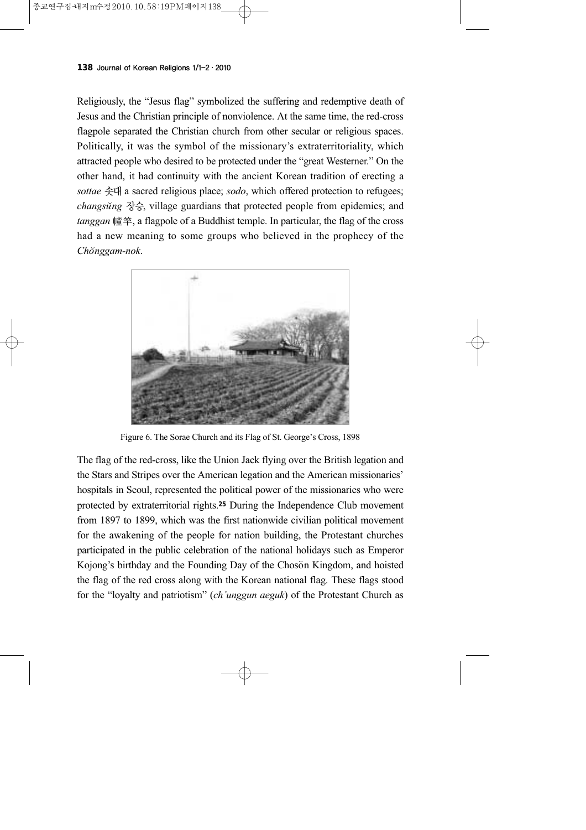Religiously, the "Jesus flag" symbolized the suffering and redemptive death of Jesus and the Christian principle of nonviolence. At the same time, the red-cross flagpole separated the Christian church from other secular or religious spaces. Politically, it was the symbol of the missionary's extraterritoriality, which attracted people who desired to be protected under the "great Westerner." On the other hand, it had continuity with the ancient Korean tradition of erecting a *sottae* 솟대 a sacred religious place; *sodo*, which offered protection to refugees; *changsu*̆*ng* 장승, village guardians that protected people from epidemics; and tanggan 幢竿, a flagpole of a Buddhist temple. In particular, the flag of the cross had a new meaning to some groups who believed in the prophecy of the *Cho*̆*nggam-nok*.



Figure 6. The Sorae Church and its Flag of St. George's Cross, 1898

The flag of the red-cross, like the Union Jack flying over the British legation and the Stars and Stripes over the American legation and the American missionaries' hospitals in Seoul, represented the political power of the missionaries who were protected by extraterritorial rights.**<sup>25</sup>** During the Independence Club movement from 1897 to 1899, which was the first nationwide civilian political movement for the awakening of the people for nation building, the Protestant churches participated in the public celebration of the national holidays such as Emperor Kojong's birthday and the Founding Day of the Choson Kingdom, and hoisted the flag of the red cross along with the Korean national flag. These flags stood for the "loyalty and patriotism" (*ch'unggun aeguk*) of the Protestant Church as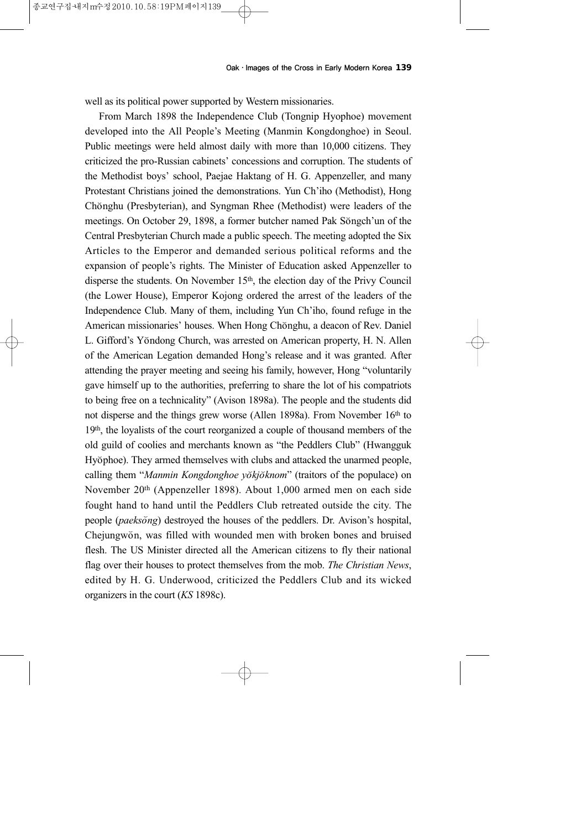well as its political power supported by Western missionaries.

From March 1898 the Independence Club (Tongnip Hyophoe) movement developed into the All People's Meeting (Manmin Kongdonghoe) in Seoul. Public meetings were held almost daily with more than 10,000 citizens. They criticized the pro-Russian cabinets' concessions and corruption. The students of the Methodist boys' school, Paejae Haktang of H. G. Appenzeller, and many Protestant Christians joined the demonstrations. Yun Ch'iho (Methodist), Hong Chonghu (Presbyterian), and Syngman Rhee (Methodist) were leaders of the meetings. On October 29, 1898, a former butcher named Pak Songch'un of the Central Presbyterian Church made a public speech. The meeting adopted the Six Articles to the Emperor and demanded serious political reforms and the expansion of people's rights. The Minister of Education asked Appenzeller to disperse the students. On November 15<sup>th</sup>, the election day of the Privy Council (the Lower House), Emperor Kojong ordered the arrest of the leaders of the Independence Club. Many of them, including Yun Ch'iho, found refuge in the American missionaries' houses. When Hong Chonghu, a deacon of Rev. Daniel L. Gifford's Yŏndong Church, was arrested on American property, H. N. Allen of the American Legation demanded Hong's release and it was granted. After attending the prayer meeting and seeing his family, however, Hong "voluntarily gave himself up to the authorities, preferring to share the lot of his compatriots to being free on a technicality" (Avison 1898a). The people and the students did not disperse and the things grew worse (Allen 1898a). From November 16<sup>th</sup> to 19th, the loyalists of the court reorganized a couple of thousand members of the old guild of coolies and merchants known as "the Peddlers Club" (Hwangguk Hyŏphoe). They armed themselves with clubs and attacked the unarmed people, calling them "*Manmin Kongdonghoe yo*̆*kjo*̆*knom*" (traitors of the populace) on November 20th (Appenzeller 1898). About 1,000 armed men on each side fought hand to hand until the Peddlers Club retreated outside the city. The people (*paekso*̆*ng*) destroyed the houses of the peddlers. Dr. Avison's hospital, Chejungwŏn, was filled with wounded men with broken bones and bruised flesh. The US Minister directed all the American citizens to fly their national flag over their houses to protect themselves from the mob. *The Christian News*, edited by H. G. Underwood, criticized the Peddlers Club and its wicked organizers in the court (*KS* 1898c).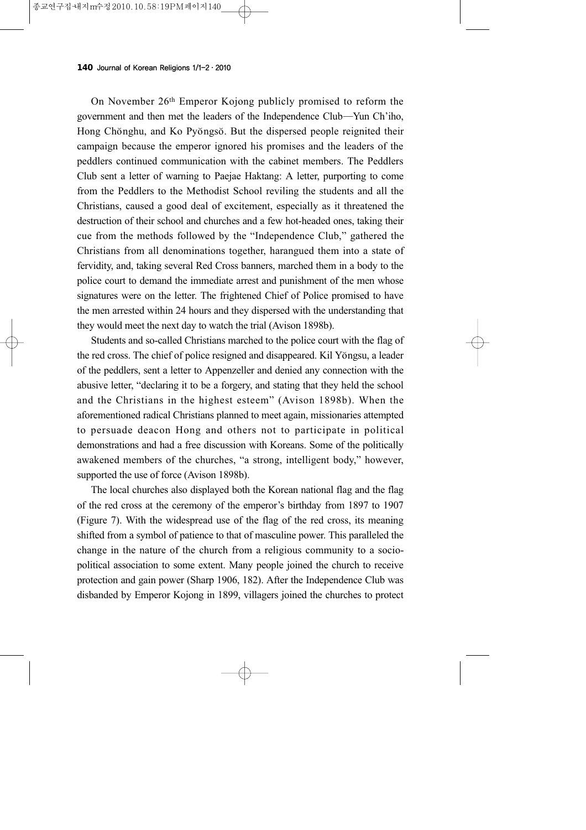On November 26th Emperor Kojong publicly promised to reform the government and then met the leaders of the Independence Club—Yun Ch'iho, Hong Chŏnghu, and Ko Pyŏngsŏ. But the dispersed people reignited their campaign because the emperor ignored his promises and the leaders of the peddlers continued communication with the cabinet members. The Peddlers Club sent a letter of warning to Paejae Haktang: A letter, purporting to come from the Peddlers to the Methodist School reviling the students and all the Christians, caused a good deal of excitement, especially as it threatened the destruction of their school and churches and a few hot-headed ones, taking their cue from the methods followed by the "Independence Club," gathered the Christians from all denominations together, harangued them into a state of fervidity, and, taking several Red Cross banners, marched them in a body to the police court to demand the immediate arrest and punishment of the men whose signatures were on the letter. The frightened Chief of Police promised to have the men arrested within 24 hours and they dispersed with the understanding that they would meet the next day to watch the trial (Avison 1898b).

Students and so-called Christians marched to the police court with the flag of the red cross. The chief of police resigned and disappeared. Kil Yŏngsu, a leader of the peddlers, sent a letter to Appenzeller and denied any connection with the abusive letter, "declaring it to be a forgery, and stating that they held the school and the Christians in the highest esteem" (Avison 1898b). When the aforementioned radical Christians planned to meet again, missionaries attempted to persuade deacon Hong and others not to participate in political demonstrations and had a free discussion with Koreans. Some of the politically awakened members of the churches, "a strong, intelligent body," however, supported the use of force (Avison 1898b).

The local churches also displayed both the Korean national flag and the flag of the red cross at the ceremony of the emperor's birthday from 1897 to 1907 (Figure 7). With the widespread use of the flag of the red cross, its meaning shifted from a symbol of patience to that of masculine power. This paralleled the change in the nature of the church from a religious community to a sociopolitical association to some extent. Many people joined the church to receive protection and gain power (Sharp 1906, 182). After the Independence Club was disbanded by Emperor Kojong in 1899, villagers joined the churches to protect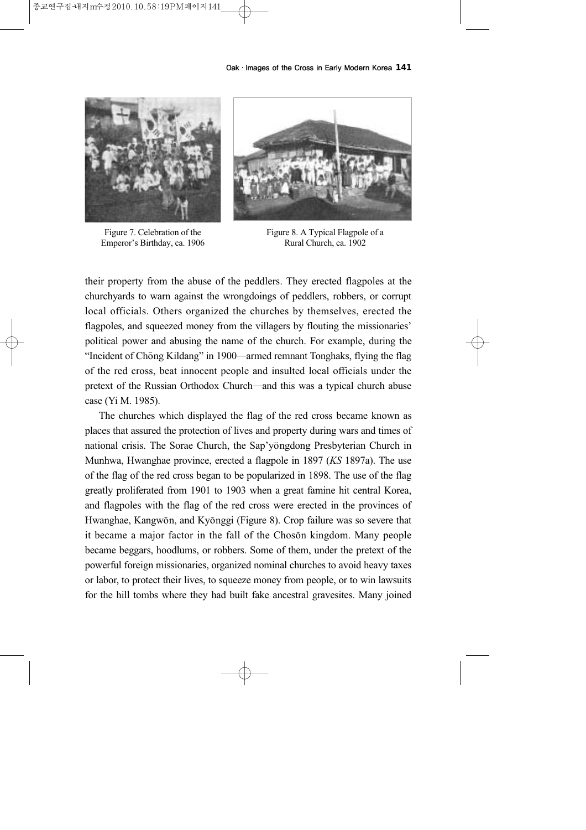

Figure 7. Celebration of the Emperor's Birthday, ca. 1906



Figure 8. A Typical Flagpole of a Rural Church, ca. 1902

their property from the abuse of the peddlers. They erected flagpoles at the churchyards to warn against the wrongdoings of peddlers, robbers, or corrupt local officials. Others organized the churches by themselves, erected the flagpoles, and squeezed money from the villagers by flouting the missionaries' political power and abusing the name of the church. For example, during the "Incident of Chŏng Kildang" in 1900—armed remnant Tonghaks, flying the flag of the red cross, beat innocent people and insulted local officials under the pretext of the Russian Orthodox Church—and this was a typical church abuse case (Yi M. 1985).

The churches which displayed the flag of the red cross became known as places that assured the protection of lives and property during wars and times of national crisis. The Sorae Church, the Sap'yŏngdong Presbyterian Church in Munhwa, Hwanghae province, erected a flagpole in 1897 (*KS* 1897a). The use of the flag of the red cross began to be popularized in 1898. The use of the flag greatly proliferated from 1901 to 1903 when a great famine hit central Korea, and flagpoles with the flag of the red cross were erected in the provinces of Hwanghae, Kangwŏn, and Kyŏnggi (Figure 8). Crop failure was so severe that it became a major factor in the fall of the Choson kingdom. Many people became beggars, hoodlums, or robbers. Some of them, under the pretext of the powerful foreign missionaries, organized nominal churches to avoid heavy taxes or labor, to protect their lives, to squeeze money from people, or to win lawsuits for the hill tombs where they had built fake ancestral gravesites. Many joined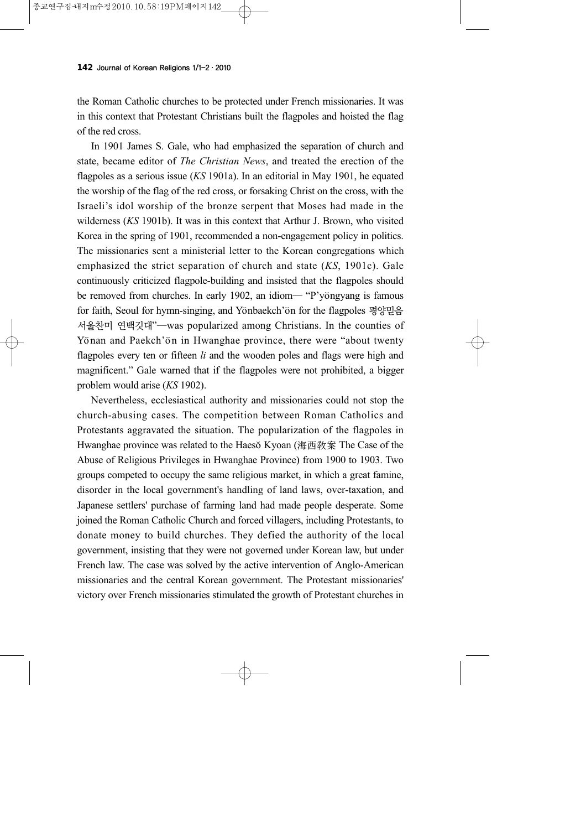the Roman Catholic churches to be protected under French missionaries. It was in this context that Protestant Christians built the flagpoles and hoisted the flag of the red cross.

In 1901 James S. Gale, who had emphasized the separation of church and state, became editor of *The Christian News*, and treated the erection of the flagpoles as a serious issue (*KS* 1901a). In an editorial in May 1901, he equated the worship of the flag of the red cross, or forsaking Christ on the cross, with the Israeli's idol worship of the bronze serpent that Moses had made in the wilderness (*KS* 1901b). It was in this context that Arthur J. Brown, who visited Korea in the spring of 1901, recommended a non-engagement policy in politics. The missionaries sent a ministerial letter to the Korean congregations which emphasized the strict separation of church and state (*KS*, 1901c). Gale continuously criticized flagpole-building and insisted that the flagpoles should be removed from churches. In early 1902, an idiom— "P'yŏngyang is famous for faith, Seoul for hymn-singing, and Yŏnbaekch'ŏn for the flagpoles 평양믿음 서울찬미 연백깃대"—was popularized among Christians. In the counties of Yŏnan and Paekch'ŏn in Hwanghae province, there were "about twenty" flagpoles every ten or fifteen *li* and the wooden poles and flags were high and magnificent." Gale warned that if the flagpoles were not prohibited, a bigger problem would arise (*KS* 1902).

Nevertheless, ecclesiastical authority and missionaries could not stop the church-abusing cases. The competition between Roman Catholics and Protestants aggravated the situation. The popularization of the flagpoles in Hwanghae province was related to the Haesŏ Kyoan (海西教案 The Case of the Abuse of Religious Privileges in Hwanghae Province) from 1900 to 1903. Two groups competed to occupy the same religious market, in which a great famine, disorder in the local government's handling of land laws, over-taxation, and Japanese settlers' purchase of farming land had made people desperate. Some joined the Roman Catholic Church and forced villagers, including Protestants, to donate money to build churches. They defied the authority of the local government, insisting that they were not governed under Korean law, but under French law. The case was solved by the active intervention of Anglo-American missionaries and the central Korean government. The Protestant missionaries' victory over French missionaries stimulated the growth of Protestant churches in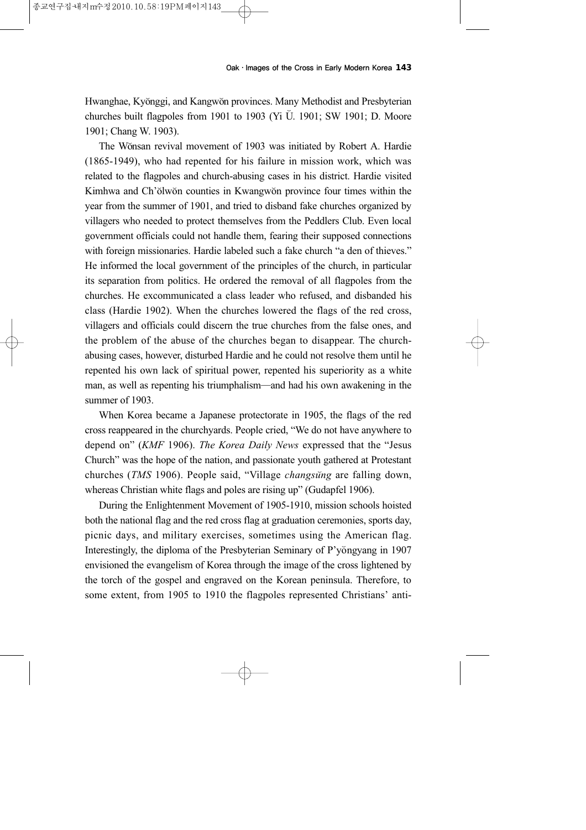Hwanghae, Kyŏnggi, and Kangwŏn provinces. Many Methodist and Presbyterian churches built flagpoles from 1901 to 1903 (Yi Ŭ. 1901; SW 1901; D. Moore 1901; Chang W. 1903).

The Wŏnsan revival movement of 1903 was initiated by Robert A. Hardie (1865-1949), who had repented for his failure in mission work, which was related to the flagpoles and church-abusing cases in his district. Hardie visited Kimhwa and Ch'ŏlwŏn counties in Kwangwŏn province four times within the year from the summer of 1901, and tried to disband fake churches organized by villagers who needed to protect themselves from the Peddlers Club. Even local government officials could not handle them, fearing their supposed connections with foreign missionaries. Hardie labeled such a fake church "a den of thieves." He informed the local government of the principles of the church, in particular its separation from politics. He ordered the removal of all flagpoles from the churches. He excommunicated a class leader who refused, and disbanded his class (Hardie 1902). When the churches lowered the flags of the red cross, villagers and officials could discern the true churches from the false ones, and the problem of the abuse of the churches began to disappear. The churchabusing cases, however, disturbed Hardie and he could not resolve them until he repented his own lack of spiritual power, repented his superiority as a white man, as well as repenting his triumphalism—and had his own awakening in the summer of 1903.

When Korea became a Japanese protectorate in 1905, the flags of the red cross reappeared in the churchyards. People cried, "We do not have anywhere to depend on" (*KMF* 1906). *The Korea Daily News* expressed that the "Jesus Church" was the hope of the nation, and passionate youth gathered at Protestant churches (*TMS* 1906). People said, "Village *changsu*̆*ng* are falling down, whereas Christian white flags and poles are rising up" (Gudapfel 1906).

During the Enlightenment Movement of 1905-1910, mission schools hoisted both the national flag and the red cross flag at graduation ceremonies, sports day, picnic days, and military exercises, sometimes using the American flag. Interestingly, the diploma of the Presbyterian Seminary of P'yŏngyang in 1907 envisioned the evangelism of Korea through the image of the cross lightened by the torch of the gospel and engraved on the Korean peninsula. Therefore, to some extent, from 1905 to 1910 the flagpoles represented Christians' anti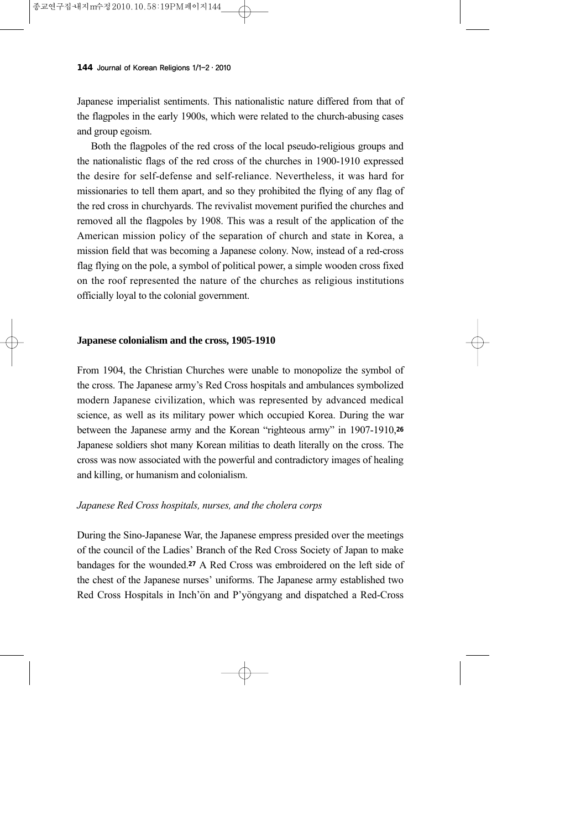Japanese imperialist sentiments. This nationalistic nature differed from that of the flagpoles in the early 1900s, which were related to the church-abusing cases and group egoism.

Both the flagpoles of the red cross of the local pseudo-religious groups and the nationalistic flags of the red cross of the churches in 1900-1910 expressed the desire for self-defense and self-reliance. Nevertheless, it was hard for missionaries to tell them apart, and so they prohibited the flying of any flag of the red cross in churchyards. The revivalist movement purified the churches and removed all the flagpoles by 1908. This was a result of the application of the American mission policy of the separation of church and state in Korea, a mission field that was becoming a Japanese colony. Now, instead of a red-cross flag flying on the pole, a symbol of political power, a simple wooden cross fixed on the roof represented the nature of the churches as religious institutions officially loyal to the colonial government.

#### **Japanese colonialism and the cross, 1905-1910**

From 1904, the Christian Churches were unable to monopolize the symbol of the cross. The Japanese army's Red Cross hospitals and ambulances symbolized modern Japanese civilization, which was represented by advanced medical science, as well as its military power which occupied Korea. During the war between the Japanese army and the Korean "righteous army" in 1907-1910,**<sup>26</sup>** Japanese soldiers shot many Korean militias to death literally on the cross. The cross was now associated with the powerful and contradictory images of healing and killing, or humanism and colonialism.

#### *Japanese Red Cross hospitals, nurses, and the cholera corps*

During the Sino-Japanese War, the Japanese empress presided over the meetings of the council of the Ladies' Branch of the Red Cross Society of Japan to make bandages for the wounded.**<sup>27</sup>** A Red Cross was embroidered on the left side of the chest of the Japanese nurses' uniforms. The Japanese army established two Red Cross Hospitals in Inch'on and P'yongyang and dispatched a Red-Cross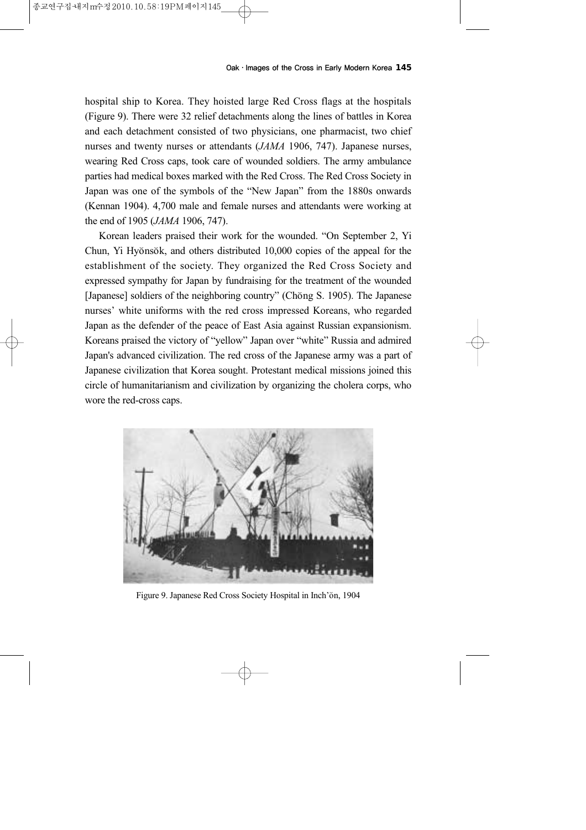hospital ship to Korea. They hoisted large Red Cross flags at the hospitals (Figure 9). There were 32 relief detachments along the lines of battles in Korea and each detachment consisted of two physicians, one pharmacist, two chief nurses and twenty nurses or attendants (*JAMA* 1906, 747). Japanese nurses, wearing Red Cross caps, took care of wounded soldiers. The army ambulance parties had medical boxes marked with the Red Cross. The Red Cross Society in Japan was one of the symbols of the "New Japan" from the 1880s onwards (Kennan 1904). 4,700 male and female nurses and attendants were working at the end of 1905 (*JAMA* 1906, 747).

Korean leaders praised their work for the wounded. "On September 2, Yi Chun, Yi Hyŏnsŏk, and others distributed 10,000 copies of the appeal for the establishment of the society. They organized the Red Cross Society and expressed sympathy for Japan by fundraising for the treatment of the wounded [Japanese] soldiers of the neighboring country" (Chong S. 1905). The Japanese nurses' white uniforms with the red cross impressed Koreans, who regarded Japan as the defender of the peace of East Asia against Russian expansionism. Koreans praised the victory of "yellow" Japan over "white" Russia and admired Japan's advanced civilization. The red cross of the Japanese army was a part of Japanese civilization that Korea sought. Protestant medical missions joined this circle of humanitarianism and civilization by organizing the cholera corps, who wore the red-cross caps.



Figure 9. Japanese Red Cross Society Hospital in Inch'on, 1904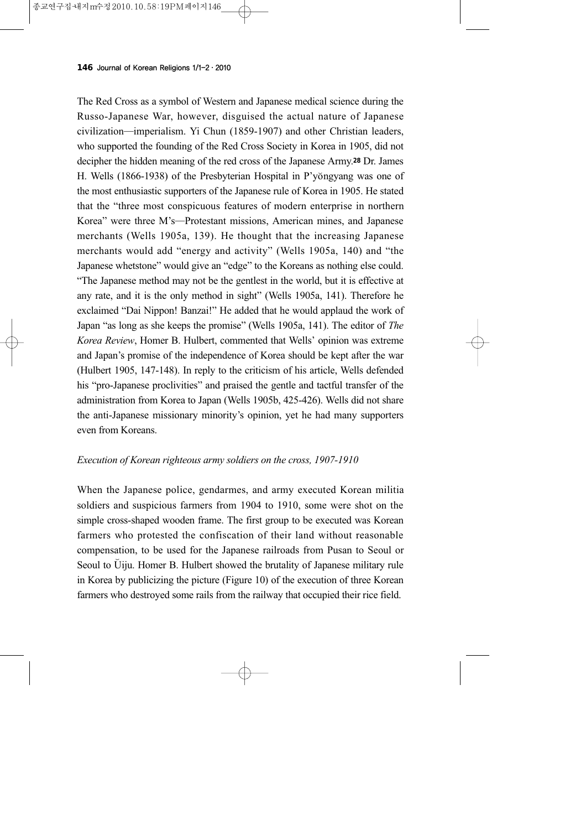The Red Cross as a symbol of Western and Japanese medical science during the Russo-Japanese War, however, disguised the actual nature of Japanese civilization—imperialism. Yi Chun (1859-1907) and other Christian leaders, who supported the founding of the Red Cross Society in Korea in 1905, did not decipher the hidden meaning of the red cross of the Japanese Army.**<sup>28</sup>** Dr. James H. Wells (1866-1938) of the Presbyterian Hospital in P'vongvang was one of the most enthusiastic supporters of the Japanese rule of Korea in 1905. He stated that the "three most conspicuous features of modern enterprise in northern Korea" were three M's—Protestant missions, American mines, and Japanese merchants (Wells 1905a, 139). He thought that the increasing Japanese merchants would add "energy and activity" (Wells 1905a, 140) and "the Japanese whetstone" would give an "edge" to the Koreans as nothing else could. "The Japanese method may not be the gentlest in the world, but it is effective at any rate, and it is the only method in sight" (Wells 1905a, 141). Therefore he exclaimed "Dai Nippon! Banzai!" He added that he would applaud the work of Japan "as long as she keeps the promise" (Wells 1905a, 141). The editor of *The Korea Review*, Homer B. Hulbert, commented that Wells' opinion was extreme and Japan's promise of the independence of Korea should be kept after the war (Hulbert 1905, 147-148). In reply to the criticism of his article, Wells defended his "pro-Japanese proclivities" and praised the gentle and tactful transfer of the administration from Korea to Japan (Wells 1905b, 425-426). Wells did not share the anti-Japanese missionary minority's opinion, yet he had many supporters even from Koreans.

## *Execution of Korean righteous army soldiers on the cross, 1907-1910*

When the Japanese police, gendarmes, and army executed Korean militia soldiers and suspicious farmers from 1904 to 1910, some were shot on the simple cross-shaped wooden frame. The first group to be executed was Korean farmers who protested the confiscation of their land without reasonable compensation, to be used for the Japanese railroads from Pusan to Seoul or Seoul to Ujju. Homer B. Hulbert showed the brutality of Japanese military rule in Korea by publicizing the picture (Figure 10) of the execution of three Korean farmers who destroyed some rails from the railway that occupied their rice field.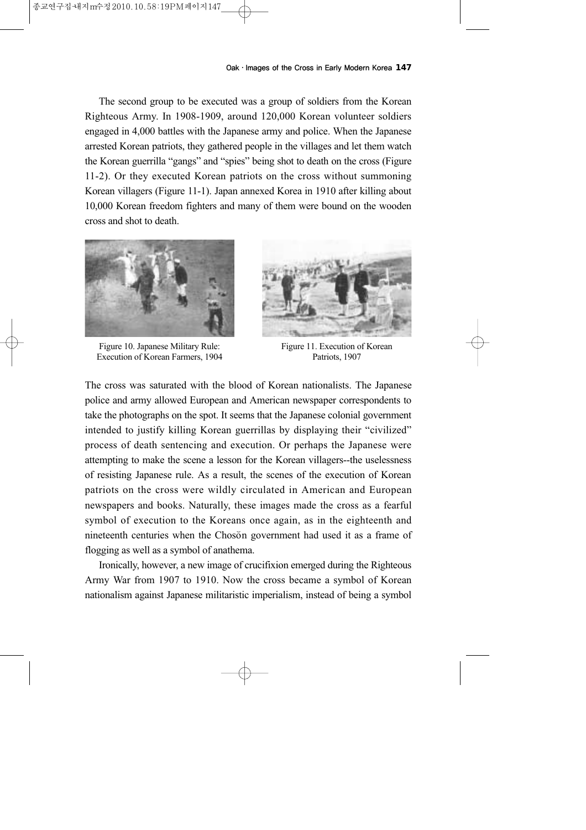The second group to be executed was a group of soldiers from the Korean Righteous Army. In 1908-1909, around 120,000 Korean volunteer soldiers engaged in 4,000 battles with the Japanese army and police. When the Japanese arrested Korean patriots, they gathered people in the villages and let them watch the Korean guerrilla "gangs" and "spies" being shot to death on the cross (Figure 11-2). Or they executed Korean patriots on the cross without summoning Korean villagers (Figure 11-1). Japan annexed Korea in 1910 after killing about 10,000 Korean freedom fighters and many of them were bound on the wooden cross and shot to death.



Figure 10. Japanese Military Rule: Execution of Korean Farmers, 1904



Figure 11. Execution of Korean Patriots, 1907

The cross was saturated with the blood of Korean nationalists. The Japanese police and army allowed European and American newspaper correspondents to take the photographs on the spot. It seems that the Japanese colonial government intended to justify killing Korean guerrillas by displaying their "civilized" process of death sentencing and execution. Or perhaps the Japanese were attempting to make the scene a lesson for the Korean villagers--the uselessness of resisting Japanese rule. As a result, the scenes of the execution of Korean patriots on the cross were wildly circulated in American and European newspapers and books. Naturally, these images made the cross as a fearful symbol of execution to the Koreans once again, as in the eighteenth and nineteenth centuries when the Choson government had used it as a frame of flogging as well as a symbol of anathema.

Ironically, however, a new image of crucifixion emerged during the Righteous Army War from 1907 to 1910. Now the cross became a symbol of Korean nationalism against Japanese militaristic imperialism, instead of being a symbol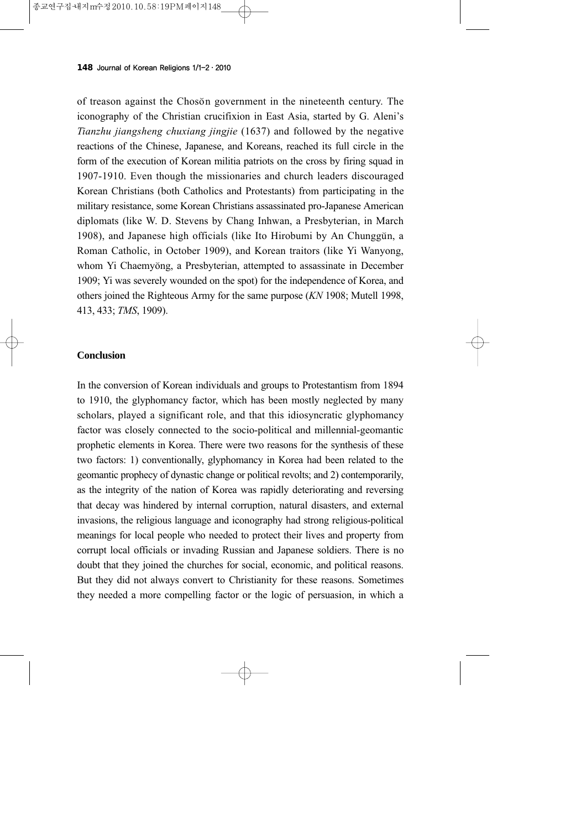of treason against the Chosŏn government in the nineteenth century. The iconography of the Christian crucifixion in East Asia, started by G. Aleni's *Tianzhu jiangsheng chuxiang jingjie* (1637) and followed by the negative reactions of the Chinese, Japanese, and Koreans, reached its full circle in the form of the execution of Korean militia patriots on the cross by firing squad in 1907-1910. Even though the missionaries and church leaders discouraged Korean Christians (both Catholics and Protestants) from participating in the military resistance, some Korean Christians assassinated pro-Japanese American diplomats (like W. D. Stevens by Chang Inhwan, a Presbyterian, in March 1908), and Japanese high officials (like Ito Hirobumi by An Chunggŭn, a Roman Catholic, in October 1909), and Korean traitors (like Yi Wanyong, whom Yi Chaemyŏng, a Presbyterian, attempted to assassinate in December 1909; Yi was severely wounded on the spot) for the independence of Korea, and others joined the Righteous Army for the same purpose (*KN* 1908; Mutell 1998, 413, 433; *TMS*, 1909).

#### **Conclusion**

In the conversion of Korean individuals and groups to Protestantism from 1894 to 1910, the glyphomancy factor, which has been mostly neglected by many scholars, played a significant role, and that this idiosyncratic glyphomancy factor was closely connected to the socio-political and millennial-geomantic prophetic elements in Korea. There were two reasons for the synthesis of these two factors: 1) conventionally, glyphomancy in Korea had been related to the geomantic prophecy of dynastic change or political revolts; and 2) contemporarily, as the integrity of the nation of Korea was rapidly deteriorating and reversing that decay was hindered by internal corruption, natural disasters, and external invasions, the religious language and iconography had strong religious-political meanings for local people who needed to protect their lives and property from corrupt local officials or invading Russian and Japanese soldiers. There is no doubt that they joined the churches for social, economic, and political reasons. But they did not always convert to Christianity for these reasons. Sometimes they needed a more compelling factor or the logic of persuasion, in which a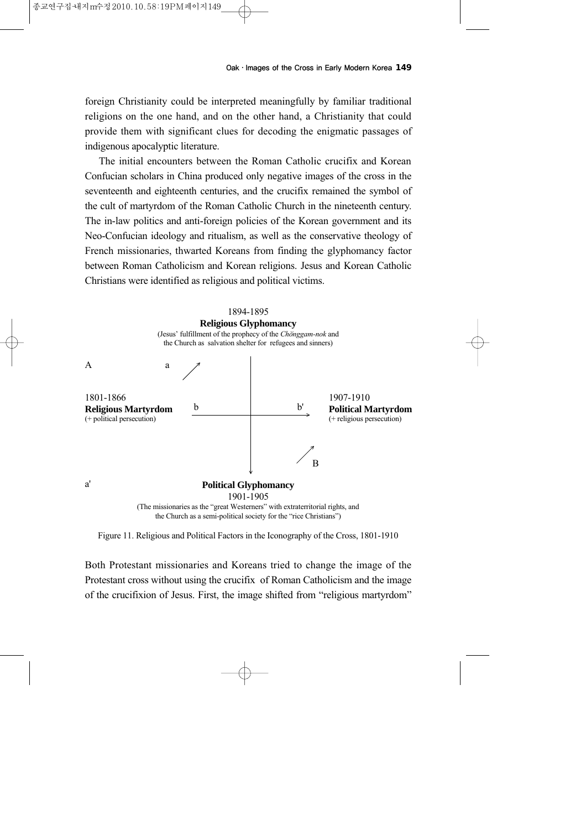foreign Christianity could be interpreted meaningfully by familiar traditional religions on the one hand, and on the other hand, a Christianity that could provide them with significant clues for decoding the enigmatic passages of indigenous apocalyptic literature.

The initial encounters between the Roman Catholic crucifix and Korean Confucian scholars in China produced only negative images of the cross in the seventeenth and eighteenth centuries, and the crucifix remained the symbol of the cult of martyrdom of the Roman Catholic Church in the nineteenth century. The in-law politics and anti-foreign policies of the Korean government and its Neo-Confucian ideology and ritualism, as well as the conservative theology of French missionaries, thwarted Koreans from finding the glyphomancy factor between Roman Catholicism and Korean religions. Jesus and Korean Catholic Christians were identified as religious and political victims.



Figure 11. Religious and Political Factors in the Iconography of the Cross, 1801-1910

Both Protestant missionaries and Koreans tried to change the image of the Protestant cross without using the crucifix of Roman Catholicism and the image of the crucifixion of Jesus. First, the image shifted from "religious martyrdom"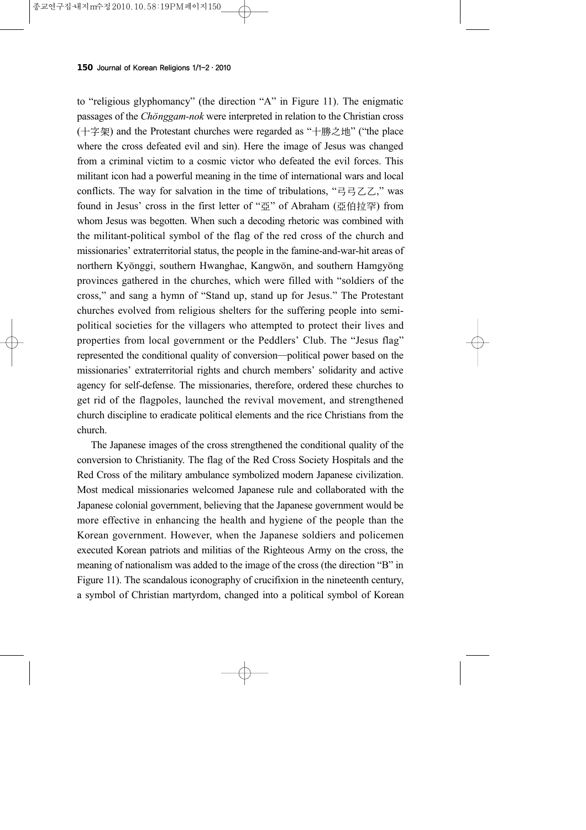to "religious glyphomancy" (the direction "A" in Figure 11). The enigmatic passages of the *Cho*̆*nggam-nok* were interpreted in relation to the Christian cross (十字架) and the Protestant churches were regarded as "十勝之地" ("the place where the cross defeated evil and sin). Here the image of Jesus was changed from a criminal victim to a cosmic victor who defeated the evil forces. This militant icon had a powerful meaning in the time of international wars and local conflicts. The way for salvation in the time of tribulations, "弓弓乙乙," was found in Jesus' cross in the first letter of "亞" of Abraham (亞伯拉罕) from whom Jesus was begotten. When such a decoding rhetoric was combined with the militant-political symbol of the flag of the red cross of the church and missionaries' extraterritorial status, the people in the famine-and-war-hit areas of northern Kyŏnggi, southern Hwanghae, Kangwŏn, and southern Hamgyŏng provinces gathered in the churches, which were filled with "soldiers of the cross," and sang a hymn of "Stand up, stand up for Jesus." The Protestant churches evolved from religious shelters for the suffering people into semipolitical societies for the villagers who attempted to protect their lives and properties from local government or the Peddlers' Club. The "Jesus flag" represented the conditional quality of conversion—political power based on the missionaries' extraterritorial rights and church members' solidarity and active agency for self-defense. The missionaries, therefore, ordered these churches to get rid of the flagpoles, launched the revival movement, and strengthened church discipline to eradicate political elements and the rice Christians from the church.

The Japanese images of the cross strengthened the conditional quality of the conversion to Christianity. The flag of the Red Cross Society Hospitals and the Red Cross of the military ambulance symbolized modern Japanese civilization. Most medical missionaries welcomed Japanese rule and collaborated with the Japanese colonial government, believing that the Japanese government would be more effective in enhancing the health and hygiene of the people than the Korean government. However, when the Japanese soldiers and policemen executed Korean patriots and militias of the Righteous Army on the cross, the meaning of nationalism was added to the image of the cross (the direction "B" in Figure 11). The scandalous iconography of crucifixion in the nineteenth century, a symbol of Christian martyrdom, changed into a political symbol of Korean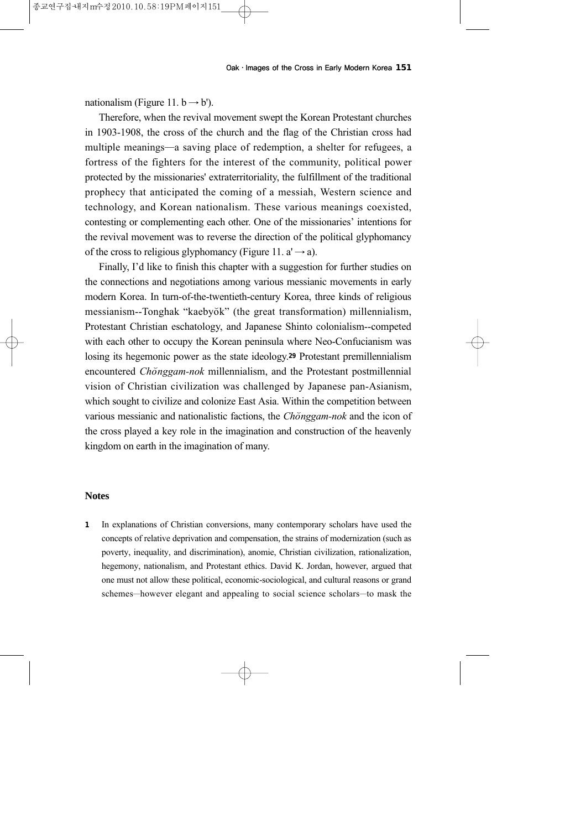nationalism (Figure 11. b  $\rightarrow$  b').

Therefore, when the revival movement swept the Korean Protestant churches in 1903-1908, the cross of the church and the flag of the Christian cross had multiple meanings—a saving place of redemption, a shelter for refugees, a fortress of the fighters for the interest of the community, political power protected by the missionaries' extraterritoriality, the fulfillment of the traditional prophecy that anticipated the coming of a messiah, Western science and technology, and Korean nationalism. These various meanings coexisted, contesting or complementing each other. One of the missionaries' intentions for the revival movement was to reverse the direction of the political glyphomancy of the cross to religious glyphomancy (Figure 11. a'  $\rightarrow$  a).

Finally, I'd like to finish this chapter with a suggestion for further studies on the connections and negotiations among various messianic movements in early modern Korea. In turn-of-the-twentieth-century Korea, three kinds of religious messianism--Tonghak "kaebyŏk" (the great transformation) millennialism, Protestant Christian eschatology, and Japanese Shinto colonialism--competed with each other to occupy the Korean peninsula where Neo-Confucianism was losing its hegemonic power as the state ideology.**<sup>29</sup>** Protestant premillennialism encountered *Chŏnggam-nok* millennialism, and the Protestant postmillennial vision of Christian civilization was challenged by Japanese pan-Asianism, which sought to civilize and colonize East Asia. Within the competition between various messianic and nationalistic factions, the *Cho*̆*nggam-nok* and the icon of the cross played a key role in the imagination and construction of the heavenly kingdom on earth in the imagination of many.

#### **Notes**

**1** In explanations of Christian conversions, many contemporary scholars have used the concepts of relative deprivation and compensation, the strains of modernization (such as poverty, inequality, and discrimination), anomie, Christian civilization, rationalization, hegemony, nationalism, and Protestant ethics. David K. Jordan, however, argued that one must not allow these political, economic-sociological, and cultural reasons or grand schemes—however elegant and appealing to social science scholars—to mask the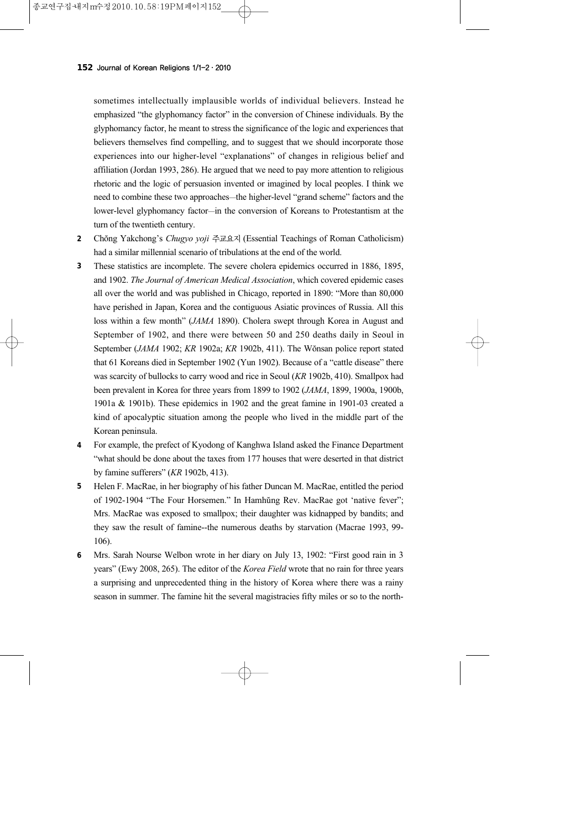sometimes intellectually implausible worlds of individual believers. Instead he emphasized "the glyphomancy factor" in the conversion of Chinese individuals. By the glyphomancy factor, he meant to stress the significance of the logic and experiences that believers themselves find compelling, and to suggest that we should incorporate those experiences into our higher-level "explanations" of changes in religious belief and affiliation (Jordan 1993, 286). He argued that we need to pay more attention to religious rhetoric and the logic of persuasion invented or imagined by local peoples. I think we need to combine these two approaches—the higher-level "grand scheme" factors and the lower-level glyphomancy factor—in the conversion of Koreans to Protestantism at the turn of the twentieth century.

- **2** Cho˘ng Yakchong's *Chugyo yoji* 주교요지 (Essential Teachings of Roman Catholicism) had a similar millennial scenario of tribulations at the end of the world.
- **3** These statistics are incomplete. The severe cholera epidemics occurred in 1886, 1895, and 1902. *The Journal of American Medical Association*, which covered epidemic cases all over the world and was published in Chicago, reported in 1890: "More than 80,000 have perished in Japan, Korea and the contiguous Asiatic provinces of Russia. All this loss within a few month" (*JAMA* 1890). Cholera swept through Korea in August and September of 1902, and there were between 50 and 250 deaths daily in Seoul in September (*JAMA* 1902; *KR* 1902a; *KR* 1902b, 411). The Wŏnsan police report stated that 61 Koreans died in September 1902 (Yun 1902). Because of a "cattle disease" there was scarcity of bullocks to carry wood and rice in Seoul (*KR* 1902b, 410). Smallpox had been prevalent in Korea for three years from 1899 to 1902 (*JAMA*, 1899, 1900a, 1900b, 1901a & 1901b). These epidemics in 1902 and the great famine in 1901-03 created a kind of apocalyptic situation among the people who lived in the middle part of the Korean peninsula.
- **4** For example, the prefect of Kyodong of Kanghwa Island asked the Finance Department "what should be done about the taxes from 177 houses that were deserted in that district by famine sufferers" (*KR* 1902b, 413).
- **5** Helen F. MacRae, in her biography of his father Duncan M. MacRae, entitled the period of 1902-1904 "The Four Horsemen." In Hamhung Rev. MacRae got 'native fever"; Mrs. MacRae was exposed to smallpox; their daughter was kidnapped by bandits; and they saw the result of famine--the numerous deaths by starvation (Macrae 1993, 99- 106).
- **6** Mrs. Sarah Nourse Welbon wrote in her diary on July 13, 1902: "First good rain in 3 years" (Ewy 2008, 265). The editor of the *Korea Field* wrote that no rain for three years a surprising and unprecedented thing in the history of Korea where there was a rainy season in summer. The famine hit the several magistracies fifty miles or so to the north-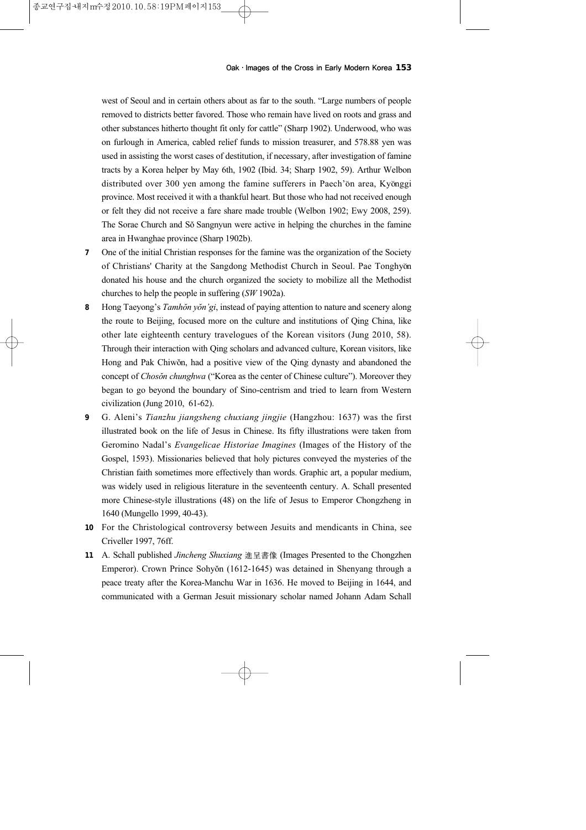west of Seoul and in certain others about as far to the south. "Large numbers of people removed to districts better favored. Those who remain have lived on roots and grass and other substances hitherto thought fit only for cattle" (Sharp 1902). Underwood, who was on furlough in America, cabled relief funds to mission treasurer, and 578.88 yen was used in assisting the worst cases of destitution, if necessary, after investigation of famine tracts by a Korea helper by May 6th, 1902 (Ibid. 34; Sharp 1902, 59). Arthur Welbon distributed over 300 yen among the famine sufferers in Paech'on area. Kyonggi province. Most received it with a thankful heart. But those who had not received enough or felt they did not receive a fare share made trouble (Welbon 1902; Ewy 2008, 259). The Sorae Church and Sŏ Sangnyun were active in helping the churches in the famine area in Hwanghae province (Sharp 1902b).

- **7** One of the initial Christian responses for the famine was the organization of the Society of Christians' Charity at the Sangdong Methodist Church in Seoul. Pae Tonghyŏn donated his house and the church organized the society to mobilize all the Methodist churches to help the people in suffering (*SW* 1902a).
- **8** Hong Taeyong's *Tamho˘n yo˘n'gi*, instead of paying attention to nature and scenery along the route to Beijing, focused more on the culture and institutions of Qing China, like other late eighteenth century travelogues of the Korean visitors (Jung 2010, 58). Through their interaction with Qing scholars and advanced culture, Korean visitors, like Hong and Pak Chiwŏn, had a positive view of the Qing dynasty and abandoned the concept of *Choson chunghwa* ("Korea as the center of Chinese culture"). Moreover they began to go beyond the boundary of Sino-centrism and tried to learn from Western civilization (Jung 2010, 61-62).
- **9** G. Aleni's *Tianzhu jiangsheng chuxiang jingjie* (Hangzhou: 1637) was the first illustrated book on the life of Jesus in Chinese. Its fifty illustrations were taken from Geromino Nadal's *Evangelicae Historiae Imagines* (Images of the History of the Gospel, 1593). Missionaries believed that holy pictures conveyed the mysteries of the Christian faith sometimes more effectively than words. Graphic art, a popular medium, was widely used in religious literature in the seventeenth century. A. Schall presented more Chinese-style illustrations (48) on the life of Jesus to Emperor Chongzheng in 1640 (Mungello 1999, 40-43).
- **10** For the Christological controversy between Jesuits and mendicants in China, see Criveller 1997, 76ff.
- **11** A. Schall published *Jincheng Shuxiang* 㷂㭴⾺⾄ (Images Presented to the Chongzhen Emperor). Crown Prince Sohyŏn (1612-1645) was detained in Shenyang through a peace treaty after the Korea-Manchu War in 1636. He moved to Beijing in 1644, and communicated with a German Jesuit missionary scholar named Johann Adam Schall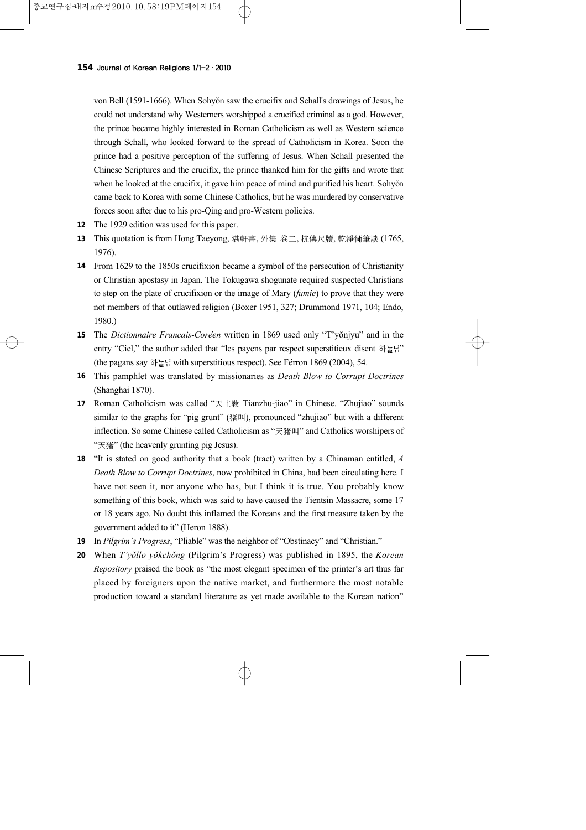von Bell (1591-1666). When Sohyon saw the crucifix and Schall's drawings of Jesus, he could not understand why Westerners worshipped a crucified criminal as a god. However, the prince became highly interested in Roman Catholicism as well as Western science through Schall, who looked forward to the spread of Catholicism in Korea. Soon the prince had a positive perception of the suffering of Jesus. When Schall presented the Chinese Scriptures and the crucifix, the prince thanked him for the gifts and wrote that when he looked at the crucifix, it gave him peace of mind and purified his heart. Sohyon came back to Korea with some Chinese Catholics, but he was murdered by conservative forces soon after due to his pro-Qing and pro-Western policies.

- **12** The 1929 edition was used for this paper.
- 13 This quotation is from Hong Taeyong, 沸軒書, 外集 卷二, 杭傳尺牘, 乾淨衕筆談 (1765, 1976).
- **14** From 1629 to the 1850s crucifixion became a symbol of the persecution of Christianity or Christian apostasy in Japan. The Tokugawa shogunate required suspected Christians to step on the plate of crucifixion or the image of Mary (*fumie*) to prove that they were not members of that outlawed religion (Boxer 1951, 327; Drummond 1971, 104; Endo, 1980.)
- **15** The *Dictionnaire Francais-Coréen* written in 1869 used only "T'yŏnjyu" and in the entry "Ciel," the author added that "les payens par respect superstitieux disent 하 님 : (the pagans say 하 님with superstitious respect). See Fe´rron 1869 (2004), 54.
- **16** This pamphlet was translated by missionaries as *Death Blow to Corrupt Doctrines* (Shanghai 1870).
- 17 Roman Catholicism was called "天主教 Tianzhu-jiao" in Chinese. "Zhujiao" sounds similar to the graphs for "pig grunt" (猪叫), pronounced "zhujiao" but with a different inflection. So some Chinese called Catholicism as "天猪叫" and Catholics worshipers of "天猪" (the heavenly grunting pig Jesus).
- **18** "It is stated on good authority that a book (tract) written by a Chinaman entitled, *A Death Blow to Corrupt Doctrines*, now prohibited in China, had been circulating here. I have not seen it, nor anyone who has, but I think it is true. You probably know something of this book, which was said to have caused the Tientsin Massacre, some 17 or 18 years ago. No doubt this inflamed the Koreans and the first measure taken by the government added to it" (Heron 1888).
- **19** In *Pilgrim's Progress*, "Pliable" was the neighbor of "Obstinacy" and "Christian."
- **20** When *T'yo˘llo yo˘kcho˘ng* (Pilgrim's Progress) was published in 1895, the *Korean Repository* praised the book as "the most elegant specimen of the printer's art thus far placed by foreigners upon the native market, and furthermore the most notable production toward a standard literature as yet made available to the Korean nation"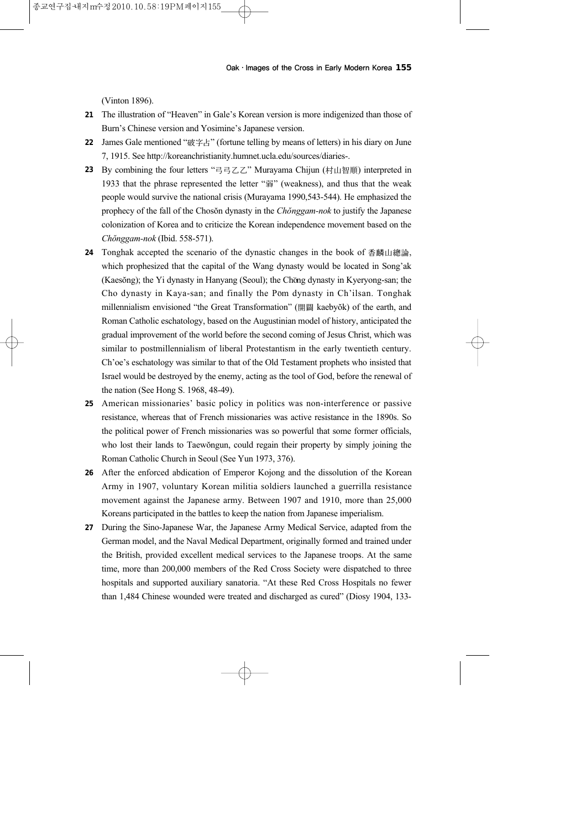(Vinton 1896).

- **21** The illustration of "Heaven" in Gale's Korean version is more indigenized than those of Burn's Chinese version and Yosimine's Japanese version.
- 22 James Gale mentioned "破字占" (fortune telling by means of letters) in his diary on June 7, 1915. See http://koreanchristianity.humnet.ucla.edu/sources/diaries-.
- 23 By combining the four letters "弓弓乙乙" Murayama Chijun (村山智順) interpreted in 1933 that the phrase represented the letter "弱" (weakness), and thus that the weak people would survive the national crisis (Murayama 1990,543-544). He emphasized the prophecy of the fall of the Choson dynasty in the *Chŏnggam-nok* to justify the Japanese colonization of Korea and to criticize the Korean independence movement based on the *Cho˘nggam-nok* (Ibid. 558-571).
- **24** Tonghak accepted the scenario of the dynastic changes in the book of 香麟山總論, which prophesized that the capital of the Wang dynasty would be located in Song'ak (Kaesŏng); the Yi dynasty in Hanyang (Seoul); the Chŏng dynasty in Kyeryong-san; the Cho dynasty in Kaya-san; and finally the Pŏm dynasty in Ch'ilsan. Tonghak millennialism envisioned "the Great Transformation" (開闢 kaebyŏk) of the earth, and Roman Catholic eschatology, based on the Augustinian model of history, anticipated the gradual improvement of the world before the second coming of Jesus Christ, which was similar to postmillennialism of liberal Protestantism in the early twentieth century. Ch'oe's eschatology was similar to that of the Old Testament prophets who insisted that Israel would be destroyed by the enemy, acting as the tool of God, before the renewal of the nation (See Hong S. 1968, 48-49).
- **25** American missionaries' basic policy in politics was non-interference or passive resistance, whereas that of French missionaries was active resistance in the 1890s. So the political power of French missionaries was so powerful that some former officials, who lost their lands to Taewŏngun, could regain their property by simply joining the Roman Catholic Church in Seoul (See Yun 1973, 376).
- **26** After the enforced abdication of Emperor Kojong and the dissolution of the Korean Army in 1907, voluntary Korean militia soldiers launched a guerrilla resistance movement against the Japanese army. Between 1907 and 1910, more than 25,000 Koreans participated in the battles to keep the nation from Japanese imperialism.
- **27** During the Sino-Japanese War, the Japanese Army Medical Service, adapted from the German model, and the Naval Medical Department, originally formed and trained under the British, provided excellent medical services to the Japanese troops. At the same time, more than 200,000 members of the Red Cross Society were dispatched to three hospitals and supported auxiliary sanatoria. "At these Red Cross Hospitals no fewer than 1,484 Chinese wounded were treated and discharged as cured" (Diosy 1904, 133-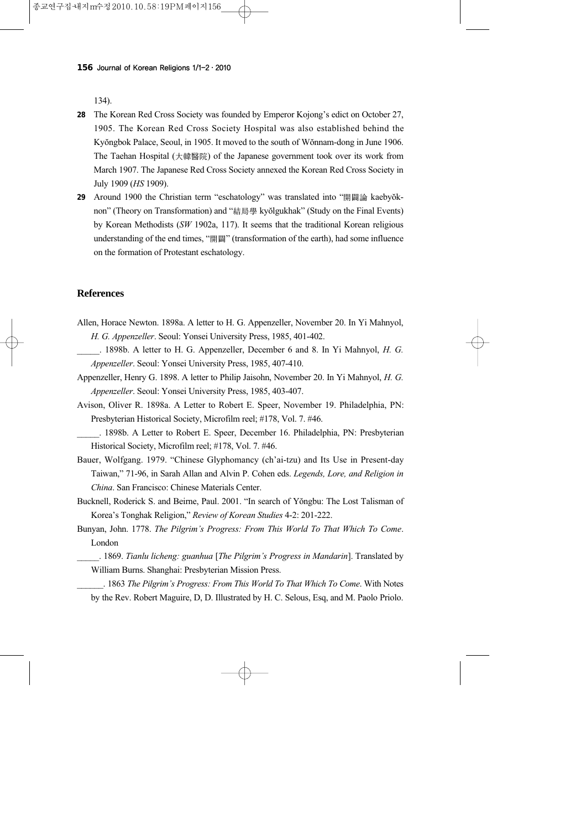134).

- **28** The Korean Red Cross Society was founded by Emperor Kojong's edict on October 27, 1905. The Korean Red Cross Society Hospital was also established behind the Kyŏngbok Palace, Seoul, in 1905. It moved to the south of Wŏnnam-dong in June 1906. The Taehan Hospital  $(\pm \frac{1}{2})$  of the Japanese government took over its work from March 1907. The Japanese Red Cross Society annexed the Korean Red Cross Society in July 1909 (*HS* 1909).
- **29** Around 1900 the Christian term "eschatology" was translated into "開闢論 kaebyŏknon" (Theory on Transformation) and "結局學 kyŏlgukhak" (Study on the Final Events) by Korean Methodists (*SW* 1902a, 117). It seems that the traditional Korean religious understanding of the end times, "開闢" (transformation of the earth), had some influence on the formation of Protestant eschatology.

## **References**

- Allen, Horace Newton. 1898a. A letter to H. G. Appenzeller, November 20. In Yi Mahnyol, *H. G. Appenzeller*. Seoul: Yonsei University Press, 1985, 401-402.
- \_\_\_\_\_. 1898b. A letter to H. G. Appenzeller, December 6 and 8. In Yi Mahnyol, *H. G. Appenzeller*. Seoul: Yonsei University Press, 1985, 407-410.
- Appenzeller, Henry G. 1898. A letter to Philip Jaisohn, November 20. In Yi Mahnyol, *H. G. Appenzeller*. Seoul: Yonsei University Press, 1985, 403-407.
- Avison, Oliver R. 1898a. A Letter to Robert E. Speer, November 19. Philadelphia, PN: Presbyterian Historical Society, Microfilm reel; #178, Vol. 7. #46.
- \_\_\_\_\_. 1898b. A Letter to Robert E. Speer, December 16. Philadelphia, PN: Presbyterian Historical Society, Microfilm reel; #178, Vol. 7. #46.
- Bauer, Wolfgang. 1979. "Chinese Glyphomancy (ch'ai-tzu) and Its Use in Present-day Taiwan," 71-96, in Sarah Allan and Alvin P. Cohen eds. *Legends, Lore, and Religion in China*. San Francisco: Chinese Materials Center.
- Bucknell, Roderick S. and Beirne, Paul. 2001. "In search of Yŏngbu: The Lost Talisman of Korea's Tonghak Religion," *Review of Korean Studies* 4-2: 201-222.
- Bunyan, John. 1778. *The Pilgrim's Progress: From This World To That Which To Come*. London
	- \_\_\_\_\_. 1869. *Tianlu licheng: guanhua* [*The Pilgrim's Progress in Mandarin*]. Translated by William Burns. Shanghai: Presbyterian Mission Press.
	- \_\_\_\_\_\_. 1863 *The Pilgrim's Progress: From This World To That Which To Come*. With Notes by the Rev. Robert Maguire, D, D. Illustrated by H. C. Selous, Esq, and M. Paolo Priolo.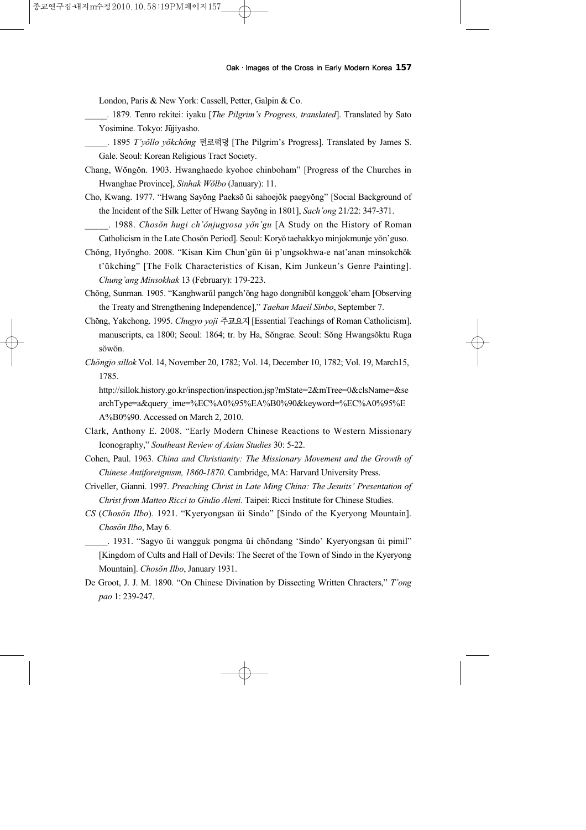London, Paris & New York: Cassell, Petter, Galpin & Co.

- \_\_\_\_\_. 1879. Tenro rekitei: iyaku [*The Pilgrim's Progress, translated*]. Translated by Sato Yosimine. Tokyo: Jūjiyasho.
	- \_\_\_\_\_. 1895 *T'yo˘llo yo˘kcho˘ng* 텬로력뎡 [The Pilgrim's Progress]. Translated by James S. Gale. Seoul: Korean Religious Tract Society.
- Chang, Wŏngŏn. 1903. Hwanghaedo kyohoe chinboham" [Progress of the Churches in Hwanghae Province], *Sinhak Wo˘lbo* (January): 11.
- Cho, Kwang. 1977. "Hwang Sayŏng Paeksŏ ŭi sahoejŏk paegyŏng" [Social Background of the Incident of the Silk Letter of Hwang Sayong in 1801], *Sach'ong* 21/22: 347-371.
- \_\_\_\_\_. 1988. *Choso˘n hugi ch'o˘njugyosa yo˘n'gu* [A Study on the History of Roman Catholicism in the Late Choson Period]. Seoul: Koryŏ taehakkyo minjokmunje yŏn'guso.
- Chŏng, Hyŏngho. 2008. "Kisan Kim Chun'gŭn ŭi p'ungsokhwa-e nat'anan minsokchŏk t'ükching" [The Folk Characteristics of Kisan, Kim Junkeun's Genre Painting]. *Chung'ang Minsokhak* 13 (February): 179-223.
- Chŏng, Sunman. 1905. "Kanghwarŭl pangch'ŏng hago dongnibŭl konggok'eham [Observing the Treaty and Strengthening Independence]," *Taehan Maeil Sinbo*, September 7.
- Cho˘ng, Yakchong. 1995. *Chugyo yoji* 주교요지[Essential Teachings of Roman Catholicism]. manuscripts, ca 1800; Seoul: 1864; tr. by Ha, Sŏngrae. Seoul: Sŏng Hwangsŏktu Ruga sŏwŏn.
- *Cho˘ngjo sillok* Vol. 14, November 20, 1782; Vol. 14, December 10, 1782; Vol. 19, March15, 1785.

http://sillok.history.go.kr/inspection/inspection.jsp?mState=2&mTree=0&clsName=&se archType=a&query\_ime=%EC%A0%95%EA%B0%90&keyword=%EC%A0%95%E A%B0%90. Accessed on March 2, 2010.

- Clark, Anthony E. 2008. "Early Modern Chinese Reactions to Western Missionary Iconography," *Southeast Review of Asian Studies* 30: 5-22.
- Cohen, Paul. 1963. *China and Christianity: The Missionary Movement and the Growth of Chinese Antiforeignism, 1860-1870*. Cambridge, MA: Harvard University Press.
- Criveller, Gianni. 1997. *Preaching Christ in Late Ming China: The Jesuits' Presentation of Christ from Matteo Ricci to Giulio Aleni*. Taipei: Ricci Institute for Chinese Studies.
- *CS* (*Chosŏn Ilbo*). 1921. "Kyeryongsan ŭi Sindo" [Sindo of the Kyeryong Mountain]. *Choso˘n Ilbo*, May 6.

. 1931. "Sagyo ŭi wangguk pongma ŭi chŏndang 'Sindo' Kyeryongsan ŭi pimil" [Kingdom of Cults and Hall of Devils: The Secret of the Town of Sindo in the Kyeryong Mountain]. *Chosŏn Ilbo*, January 1931.

De Groot, J. J. M. 1890. "On Chinese Divination by Dissecting Written Chracters," *T'ong pao* 1: 239-247.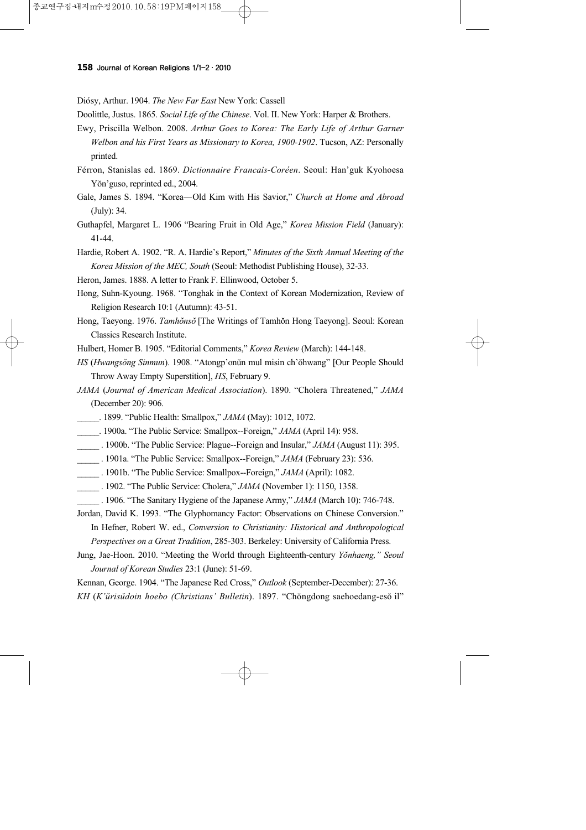Dio´sy, Arthur. 1904. *The New Far East* New York: Cassell

Doolittle, Justus. 1865. *Social Life of the Chinese*. Vol. II. New York: Harper & Brothers.

- Ewy, Priscilla Welbon. 2008. *Arthur Goes to Korea: The Early Life of Arthur Garner Welbon and his First Years as Missionary to Korea, 1900-1902*. Tucson, AZ: Personally printed.
- Férron, Stanislas ed. 1869. *Dictionnaire Francais-Coréen*. Seoul: Han'guk Kyohoesa Yŏn'guso, reprinted ed., 2004.
- Gale, James S. 1894. "Korea—Old Kim with His Savior," *Church at Home and Abroad* (July): 34.
- Guthapfel, Margaret L. 1906 "Bearing Fruit in Old Age," *Korea Mission Field* (January): 41-44.
- Hardie, Robert A. 1902. "R. A. Hardie's Report," *Minutes of the Sixth Annual Meeting of the Korea Mission of the MEC, South* (Seoul: Methodist Publishing House), 32-33.
- Heron, James. 1888. A letter to Frank F. Ellinwood, October 5.
- Hong, Suhn-Kyoung. 1968. "Tonghak in the Context of Korean Modernization, Review of Religion Research 10:1 (Autumn): 43-51.
- Hong, Taeyong. 1976. *Tamhŏnsŏ* [The Writings of Tamhŏn Hong Taeyong]. Seoul: Korean Classics Research Institute.
- Hulbert, Homer B. 1905. "Editorial Comments," *Korea Review* (March): 144-148.
- *HS* (*Hwangsŏng Sinmun*). 1908. "Atongp'onŭn mul misin ch'ŏhwang" [Our People Should Throw Away Empty Superstition], *HS*, February 9.
- *JAMA* (*Journal of American Medical Association*). 1890. "Cholera Threatened," *JAMA* (December 20): 906.
- \_\_\_\_\_. 1899. "Public Health: Smallpox," *JAMA* (May): 1012, 1072.
- \_\_\_\_\_. 1900a. "The Public Service: Smallpox--Foreign," *JAMA* (April 14): 958.
- \_\_\_\_\_ . 1900b. "The Public Service: Plague--Foreign and Insular," *JAMA* (August 11): 395.
- \_\_\_\_\_ . 1901a. "The Public Service: Smallpox--Foreign," *JAMA* (February 23): 536.
- \_\_\_\_\_ . 1901b. "The Public Service: Smallpox--Foreign," *JAMA* (April): 1082.
- \_\_\_\_\_ . 1902. "The Public Service: Cholera," *JAMA* (November 1): 1150, 1358.
- \_\_\_\_\_ . 1906. "The Sanitary Hygiene of the Japanese Army," *JAMA* (March 10): 746-748.
- Jordan, David K. 1993. "The Glyphomancy Factor: Observations on Chinese Conversion." In Hefner, Robert W. ed., *Conversion to Christianity: Historical and Anthropological Perspectives on a Great Tradition*, 285-303. Berkeley: University of California Press.
- Jung, Jae-Hoon. 2010. "Meeting the World through Eighteenth-century *Yo˘nhaeng," Seoul Journal of Korean Studies* 23:1 (June): 51-69.
- Kennan, George. 1904. "The Japanese Red Cross," *Outlook* (September-December): 27-36.
- *KH* (*K'ŭrisŭdoin hoebo (Christians' Bulletin*). 1897. "Chŏngdong saehoedang-esŏ il"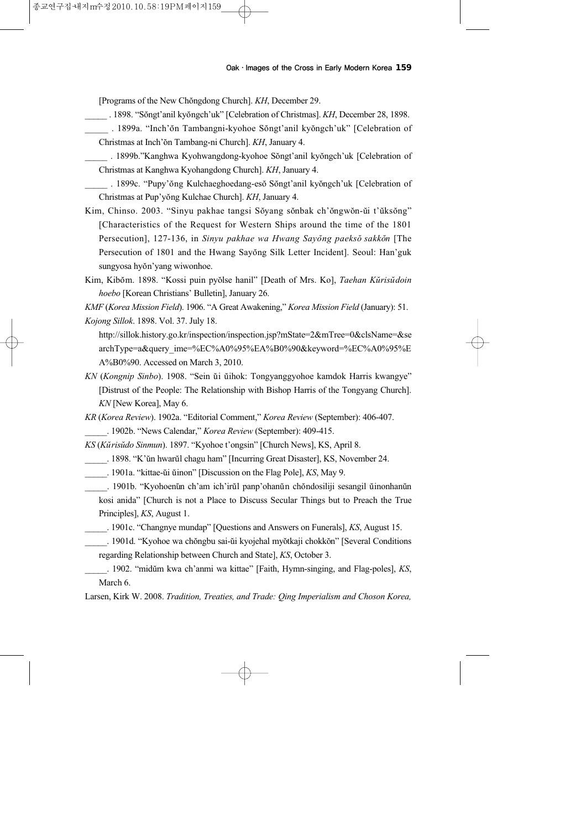[Programs of the New Chŏngdong Church]. *KH*, December 29.

- . 1898. "Songt'anil kyongch'uk" [Celebration of Christmas]. *KH*, December 28, 1898.
- \_\_\_\_\_ . 1899a. "Inch'o˘n Tambangni-kyohoe So˘ngt'anil kyo˘ngch'uk" [Celebration of Christmas at Inch'on Tambang-ni Church]. *KH*, January 4.
- . 1899b."Kanghwa Kyohwangdong-kyohoe Sŏngt'anil kyŏngch'uk [Celebration of Christmas at Kanghwa Kyohangdong Church]. *KH*, January 4.

. 1899c. "Pupy'ŏng Kulchaeghoedang-esŏ Sŏngt'anil kyŏngch'uk [Celebration of Christmas at Pup'yŏng Kulchae Church]. *KH*, January 4.

- Kim, Chinso. 2003. "Sinyu pakhae tangsi Sŏyang sŏnbak ch'ŏngwŏn-ŭi t'ŭksŏng" [Characteristics of the Request for Western Ships around the time of the 1801 Persecution], 127-136, in *Sinyu pakhae wa Hwang Sayŏng paeksŏ sakkŏn* [The Persecution of 1801 and the Hwang Sayong Silk Letter Incident]. Seoul: Han'guk sungyosa hyŏn'yang wiwonhoe.
- Kim, Kibŏm. 1898. "Kossi puin pyŏlse hanil" [Death of Mrs. Ko], *Taehan Kŭrisŭdoin hoebo* [Korean Christians' Bulletin], January 26.

*KMF* (*Korea Mission Field*). 1906. "A Great Awakening," *Korea Mission Field* (January): 51.

```
Kojong Sillok. 1898. Vol. 37. July 18.
```
- http://sillok.history.go.kr/inspection/inspection.jsp?mState=2&mTree=0&clsName=&se archType=a&query\_ime=%EC%A0%95%EA%B0%90&keyword=%EC%A0%95%E A%B0%90. Accessed on March 3, 2010.
- *KN* (*Kongnip Sinbo*). 1908. "Sein ŭi ŭihok: Tongyanggyohoe kamdok Harris kwangye" [Distrust of the People: The Relationship with Bishop Harris of the Tongyang Church]. *KN* [New Korea], May 6.
- *KR* (*Korea Review*). 1902a. "Editorial Comment," *Korea Review* (September): 406-407. \_\_\_\_\_. 1902b. "News Calendar," *Korea Review* (September): 409-415.
- *KS* (*Ku˘ risu˘do Sinmun*). 1897. "Kyohoe t'ongsin" [Church News], KS, April 8.
- \_\_\_\_\_. 1898. "K'u˘n hwaru˘l chagu ham" [Incurring Great Disaster], KS, November 24.
- \_\_\_\_\_. 1901a. "kittae-u˘i u˘inon" [Discussion on the Flag Pole], *KS*, May 9.
- . 1901b. "Kyohoenŭn ch'am ich'irŭl panp'ohanŭn chŏndosiliji sesangil ŭinonhanŭn kosi anida" [Church is not a Place to Discuss Secular Things but to Preach the True Principles], *KS*, August 1.
- \_\_\_\_\_. 1901c. "Changnye mundap" [Questions and Answers on Funerals], *KS*, August 15.
- . 1901d. "Kyohoe wa chŏngbu sai-ŭi kyojehal myŏtkaji chokkŏn" [Several Conditions regarding Relationship between Church and State], *KS*, October 3.
- \_\_\_\_\_. 1902. "midu˘m kwa ch'anmi wa kittae" [Faith, Hymn-singing, and Flag-poles], *KS*, March 6.
- Larsen, Kirk W. 2008. *Tradition, Treaties, and Trade: Qing Imperialism and Choson Korea,*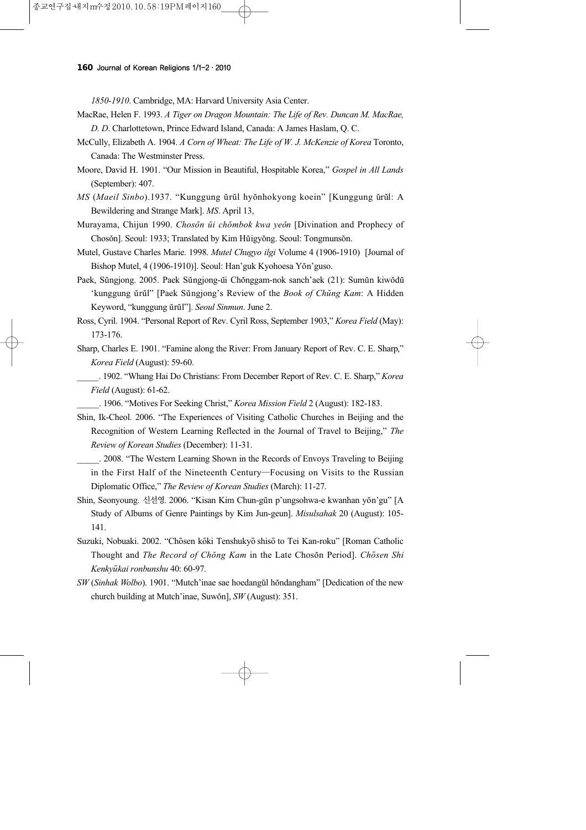*1850-1910*. Cambridge, MA: Harvard University Asia Center.

- MacRae, Helen F. 1993. *A Tiger on Dragon Mountain: The Life of Rev. Duncan M. MacRae, D. D*. Charlottetown, Prince Edward Island, Canada: A James Haslam, Q. C.
- McCully, Elizabeth A. 1904. *A Corn of Wheat: The Life of W. J. McKenzie of Korea* Toronto, Canada: The Westminster Press.
- Moore, David H. 1901. "Our Mission in Beautiful, Hospitable Korea," *Gospel in All Lands* (September): 407.
- *MS* (*Maeil Sinbo*).1937. "Kunggung u˘ru˘l hyo˘nhokyong koein" [Kunggung u˘ru˘l: A Bewildering and Strange Mark]. *MS*. April 13,
- Murayama, Chijun 1990. *Chosŏn ŭi chŏmbok kwa yeŏn* [Divination and Prophecy of Chosŏn]. Seoul: 1933; Translated by Kim Hŭigyŏng. Seoul: Tongmunsŏn.
- Mutel, Gustave Charles Marie. 1998. *Mutel Chugyo ilgi* Volume 4 (1906-1910) [Journal of Bishop Mutel, 4 (1906-1910)]. Seoul: Han'guk Kyohoesa Yŏn'guso.
- Paek, Sŭngjong. 2005. Paek Süngjong-ŭi Chŏnggam-nok sanch'aek (21): Sumŭn kiwŏdu 'kunggung ŭrŭl" [Paek Sŭngjong's Review of the *Book of Chŭng Kam*: A Hidden Keyword, "kunggung ŭrŭl"]. *Seoul Sinmun*. June 2.
- Ross, Cyril. 1904. "Personal Report of Rev. Cyril Ross, September 1903," *Korea Field* (May): 173-176.
- Sharp, Charles E. 1901. "Famine along the River: From January Report of Rev. C. E. Sharp," *Korea Field* (August): 59-60.

\_\_\_\_\_. 1902. "Whang Hai Do Christians: From December Report of Rev. C. E. Sharp," *Korea Field* (August): 61-62.

\_\_\_\_\_. 1906. "Motives For Seeking Christ," *Korea Mission Field* 2 (August): 182-183.

- Shin, Ik-Cheol. 2006. "The Experiences of Visiting Catholic Churches in Beijing and the Recognition of Western Learning Reflected in the Journal of Travel to Beijing," *The Review of Korean Studies* (December): 11-31.
- \_\_\_\_\_. 2008. "The Western Learning Shown in the Records of Envoys Traveling to Beijing in the First Half of the Nineteenth Century—Focusing on Visits to the Russian Diplomatic Office," *The Review of Korean Studies* (March): 11-27.
- Shin, Seonyoung. 신선영. 2006. "Kisan Kim Chun-gŭn p'ungsohwa-e kwanhan yŏn'gu" [A Study of Albums of Genre Paintings by Kim Jun-geun]. *Misulsahak* 20 (August): 105- 141.
- Suzuki, Nobuaki. 2002. "Chōsen kōki Tenshukyō shisō to Tei Kan-roku" [Roman Catholic Thought and *The Record of Chŏng Kam* in the Late Chosŏn Period]. *Chōsen Shi Kenkyu¯ kai ronbunshu* 40: 60-97.
- *SW* (*Sinhak Wolbo*). 1901. "Mutch'inae sae hoedangŭl hŏndangham" [Dedication of the new church building at Mutch'inae, Suwŏn], *SW* (August): 351.